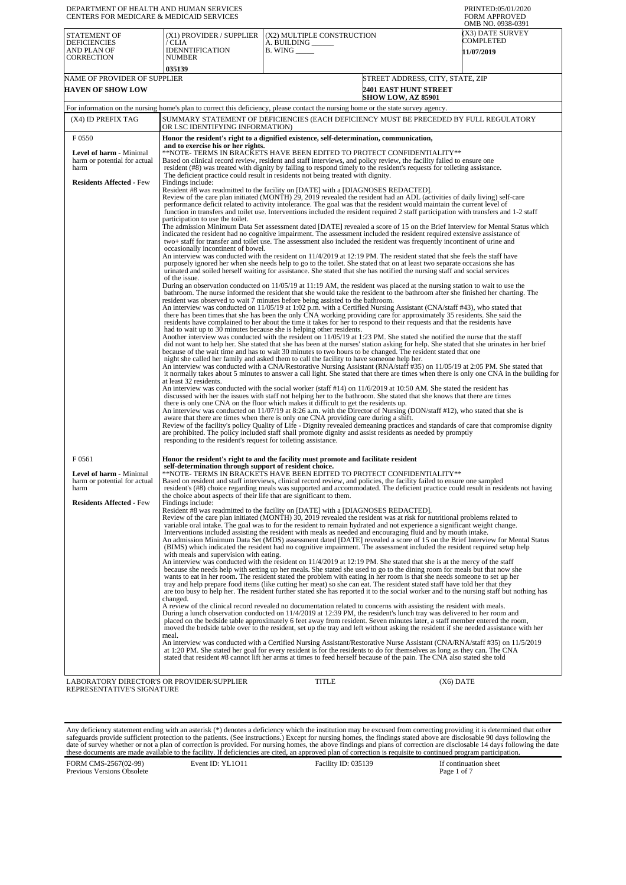| DEPARTMENT OF HEALTH AND HUMAN SERVICES<br>CENTERS FOR MEDICARE & MEDICAID SERVICES                          |                                                                                                                                                                                                  |                                                                                                                                                                                                                                                                                                                                                                                                                                                                                                                                                                                                                                                                                                                                                                                                                                                                                                                                                                                                                                                                                                                                                                                                                                                                                                                                                                                                                                                                                                                                                                                                                                                                                                                                                                                                                                                                                                                                                                                                                                                                                                                                                                                                                                                                                                                                                                                                                                                                                                                                                                                                                                                                                                                                                                                                                                                                                                                                                                                                                                                                                                                                                                                                                                                                                                                                                                                                                                                                                                                                                                                                                                                                                                                                                                                                                                                                                                                                                                                                                                                                                   | PRINTED:05/01/2020<br><b>FORM APPROVED</b><br>OMB NO. 0938-0391 |
|--------------------------------------------------------------------------------------------------------------|--------------------------------------------------------------------------------------------------------------------------------------------------------------------------------------------------|-----------------------------------------------------------------------------------------------------------------------------------------------------------------------------------------------------------------------------------------------------------------------------------------------------------------------------------------------------------------------------------------------------------------------------------------------------------------------------------------------------------------------------------------------------------------------------------------------------------------------------------------------------------------------------------------------------------------------------------------------------------------------------------------------------------------------------------------------------------------------------------------------------------------------------------------------------------------------------------------------------------------------------------------------------------------------------------------------------------------------------------------------------------------------------------------------------------------------------------------------------------------------------------------------------------------------------------------------------------------------------------------------------------------------------------------------------------------------------------------------------------------------------------------------------------------------------------------------------------------------------------------------------------------------------------------------------------------------------------------------------------------------------------------------------------------------------------------------------------------------------------------------------------------------------------------------------------------------------------------------------------------------------------------------------------------------------------------------------------------------------------------------------------------------------------------------------------------------------------------------------------------------------------------------------------------------------------------------------------------------------------------------------------------------------------------------------------------------------------------------------------------------------------------------------------------------------------------------------------------------------------------------------------------------------------------------------------------------------------------------------------------------------------------------------------------------------------------------------------------------------------------------------------------------------------------------------------------------------------------------------------------------------------------------------------------------------------------------------------------------------------------------------------------------------------------------------------------------------------------------------------------------------------------------------------------------------------------------------------------------------------------------------------------------------------------------------------------------------------------------------------------------------------------------------------------------------------------------------------------------------------------------------------------------------------------------------------------------------------------------------------------------------------------------------------------------------------------------------------------------------------------------------------------------------------------------------------------------------------------------------------------------------------------------------------------------------------|-----------------------------------------------------------------|
| STATEMENT OF<br><b>DEFICIENCIES</b><br>AND PLAN OF<br>CORRECTION                                             | (X1) PROVIDER / SUPPLIER<br>/ CLIA<br><b>IDENNTIFICATION</b><br><b>NUMBER</b><br>035139                                                                                                          | (X2) MULTIPLE CONSTRUCTION<br>A. BUILDING<br>$B.$ WING $\_\_\_\_\_\_\$                                                                                                                                                                                                                                                                                                                                                                                                                                                                                                                                                                                                                                                                                                                                                                                                                                                                                                                                                                                                                                                                                                                                                                                                                                                                                                                                                                                                                                                                                                                                                                                                                                                                                                                                                                                                                                                                                                                                                                                                                                                                                                                                                                                                                                                                                                                                                                                                                                                                                                                                                                                                                                                                                                                                                                                                                                                                                                                                                                                                                                                                                                                                                                                                                                                                                                                                                                                                                                                                                                                                                                                                                                                                                                                                                                                                                                                                                                                                                                                                            | (X3) DATE SURVEY<br>COMPLETED<br><b>11/07/2019</b>              |
| NAME OF PROVIDER OF SUPPLIER<br><b>HAVEN OF SHOW LOW</b>                                                     |                                                                                                                                                                                                  | STREET ADDRESS, CITY, STATE, ZIP<br><b>2401 EAST HUNT STREET</b><br><b>SHOW LOW, AZ 85901</b>                                                                                                                                                                                                                                                                                                                                                                                                                                                                                                                                                                                                                                                                                                                                                                                                                                                                                                                                                                                                                                                                                                                                                                                                                                                                                                                                                                                                                                                                                                                                                                                                                                                                                                                                                                                                                                                                                                                                                                                                                                                                                                                                                                                                                                                                                                                                                                                                                                                                                                                                                                                                                                                                                                                                                                                                                                                                                                                                                                                                                                                                                                                                                                                                                                                                                                                                                                                                                                                                                                                                                                                                                                                                                                                                                                                                                                                                                                                                                                                     |                                                                 |
|                                                                                                              |                                                                                                                                                                                                  | For information on the nursing home's plan to correct this deficiency, please contact the nursing home or the state survey agency.                                                                                                                                                                                                                                                                                                                                                                                                                                                                                                                                                                                                                                                                                                                                                                                                                                                                                                                                                                                                                                                                                                                                                                                                                                                                                                                                                                                                                                                                                                                                                                                                                                                                                                                                                                                                                                                                                                                                                                                                                                                                                                                                                                                                                                                                                                                                                                                                                                                                                                                                                                                                                                                                                                                                                                                                                                                                                                                                                                                                                                                                                                                                                                                                                                                                                                                                                                                                                                                                                                                                                                                                                                                                                                                                                                                                                                                                                                                                                |                                                                 |
| (X4) ID PREFIX TAG                                                                                           | OR LSC IDENTIFYING INFORMATION)                                                                                                                                                                  | SUMMARY STATEMENT OF DEFICIENCIES (EACH DEFICIENCY MUST BE PRECEDED BY FULL REGULATORY                                                                                                                                                                                                                                                                                                                                                                                                                                                                                                                                                                                                                                                                                                                                                                                                                                                                                                                                                                                                                                                                                                                                                                                                                                                                                                                                                                                                                                                                                                                                                                                                                                                                                                                                                                                                                                                                                                                                                                                                                                                                                                                                                                                                                                                                                                                                                                                                                                                                                                                                                                                                                                                                                                                                                                                                                                                                                                                                                                                                                                                                                                                                                                                                                                                                                                                                                                                                                                                                                                                                                                                                                                                                                                                                                                                                                                                                                                                                                                                            |                                                                 |
| F 0550<br>Level of harm - Minimal<br>harm or potential for actual<br>harm<br><b>Residents Affected - Few</b> | and to exercise his or her rights.<br>Findings include:<br>participation to use the toilet.<br>occasionally incontinent of bowel.<br>of the issue.<br>at least 32 residents.                     | Honor the resident's right to a dignified existence, self-determination, communication,<br>**NOTE- TERMS IN BRACKETS HAVE BEEN EDITED TO PROTECT CONFIDENTIALITY**<br>Based on clinical record review, resident and staff interviews, and policy review, the facility failed to ensure one<br>resident (#8) was treated with dignity by failing to respond timely to the resident's requests for toileting assistance.<br>The deficient practice could result in residents not being treated with dignity.<br>Resident #8 was readmitted to the facility on [DATE] with a [DIAGNOSES REDACTED].<br>Review of the care plan initiated (MONTH) 29, 2019 revealed the resident had an ADL (activities of daily living) self-care<br>performance deficit related to activity intolerance. The goal was that the resident would maintain the current level of<br>function in transfers and toilet use. Interventions included the resident required 2 staff participation with transfers and 1-2 staff<br>The admission Minimum Data Set assessment dated [DATE] revealed a score of 15 on the Brief Interview for Mental Status which<br>indicated the resident had no cognitive impairment. The assessment included the resident required extensive assistance of<br>two+ staff for transfer and toilet use. The assessment also included the resident was frequently incontinent of urine and<br>An interview was conducted with the resident on 11/4/2019 at 12:19 PM. The resident stated that she feels the staff have<br>purposely ignored her when she needs help to go to the toilet. She stated that on at least two separate occasions she has<br>urinated and soiled herself waiting for assistance. She stated that she has notified the nursing staff and social services<br>During an observation conducted on $11/05/19$ at $11:19$ AM, the resident was placed at the nursing station to wait to use the<br>bathroom. The nurse informed the resident that she would take the resident to the bathroom after she finished her charting. The<br>resident was observed to wait 7 minutes before being assisted to the bathroom.<br>An interview was conducted on 11/05/19 at 1:02 p.m. with a Certified Nursing Assistant (CNA/staff #43), who stated that<br>there has been times that she has been the only CNA working providing care for approximately 35 residents. She said the<br>residents have complained to her about the time it takes for her to respond to their requests and that the residents have<br>had to wait up to 30 minutes because she is helping other residents.<br>Another interview was conducted with the resident on 11/05/19 at 1:23 PM. She stated she notified the nurse that the staff<br>did not want to help her. She stated that she has been at the nurses' station asking for help. She stated that she urinates in her brief<br>because of the wait time and has to wait 30 minutes to two hours to be changed. The resident stated that one<br>night she called her family and asked them to call the facility to have someone help her.<br>An interview was conducted with a CNA/Restorative Nursing Assistant (RNA/staff #35) on 11/05/19 at 2:05 PM. She stated that<br>it normally takes about 5 minutes to answer a call light. She stated that there are times when there is only one CNA in the building for<br>An interview was conducted with the social worker (staff #14) on $11/6/2019$ at 10:50 AM. She stated the resident has<br>discussed with her the issues with staff not helping her to the bathroom. She stated that she knows that there are times<br>there is only one CNA on the floor which makes it difficult to get the residents up.<br>An interview was conducted on $11/07/19$ at 8:26 a.m. with the Director of Nursing (DON/staff #12), who stated that she is<br>aware that there are times when there is only one CNA providing care during a shift.<br>Review of the facility's policy Quality of Life - Dignity revealed demeaning practices and standards of care that compromise dignity |                                                                 |
| F 0561<br><b>Level of harm - Minimal</b><br>harm or potential for actual<br>harm                             | responding to the resident's request for toileting assistance.<br>self-determination through support of resident choice.<br>the choice about aspects of their life that are significant to them. | Honor the resident's right to and the facility must promote and facilitate resident<br>**NOTE- TERMS IN BRACKETS HAVE BEEN EDITED TO PROTECT CONFIDENTIALITY**<br>Based on resident and staff interviews, clinical record review, and policies, the facility failed to ensure one sampled<br>resident's (#8) choice regarding meals was supported and accommodated. The deficient practice could result in residents not having                                                                                                                                                                                                                                                                                                                                                                                                                                                                                                                                                                                                                                                                                                                                                                                                                                                                                                                                                                                                                                                                                                                                                                                                                                                                                                                                                                                                                                                                                                                                                                                                                                                                                                                                                                                                                                                                                                                                                                                                                                                                                                                                                                                                                                                                                                                                                                                                                                                                                                                                                                                                                                                                                                                                                                                                                                                                                                                                                                                                                                                                                                                                                                                                                                                                                                                                                                                                                                                                                                                                                                                                                                                   |                                                                 |
| <b>Residents Affected - Few</b>                                                                              | Findings include:<br>with meals and supervision with eating.<br>changed.<br>meal.                                                                                                                | Resident #8 was readmitted to the facility on [DATE] with a [DIAGNOSES REDACTED].<br>Review of the care plan initiated (MONTH) 30, 2019 revealed the resident was at risk for nutritional problems related to<br>variable oral intake. The goal was to for the resident to remain hydrated and not experience a significant weight change.<br>Interventions included assisting the resident with meals as needed and encouraging fluid and by mouth intake.<br>An admission Minimum Data Set (MDS) assessment dated [DATE] revealed a score of 15 on the Brief Interview for Mental Status<br>(BIMS) which indicated the resident had no cognitive impairment. The assessment included the resident required setup help<br>An interview was conducted with the resident on 11/4/2019 at 12:19 PM. She stated that she is at the mercy of the staff<br>because she needs help with setting up her meals. She stated she used to go to the dining room for meals but that now she<br>wants to eat in her room. The resident stated the problem with eating in her room is that she needs someone to set up her<br>tray and help prepare food items (like cutting her meat) so she can eat. The resident stated staff have told her that they<br>are too busy to help her. The resident further stated she has reported it to the social worker and to the nursing staff but nothing has<br>A review of the clinical record revealed no documentation related to concerns with assisting the resident with meals.<br>During a lunch observation conducted on 11/4/2019 at 12:39 PM, the resident's lunch tray was delivered to her room and<br>placed on the bedside table approximately 6 feet away from resident. Seven minutes later, a staff member entered the room,<br>moved the bedside table over to the resident, set up the tray and left without asking the resident if she needed assistance with her<br>An interview was conducted with a Certified Nursing Assistant/Restorative Nurse Assistant (CNA/RNA/staff #35) on 11/5/2019<br>at 1:20 PM. She stated her goal for every resident is for the residents to do for themselves as long as they can. The CNA                                                                                                                                                                                                                                                                                                                                                                                                                                                                                                                                                                                                                                                                                                                                                                                                                                                                                                                                                                                                                                                                                                                                                                                                                                                                                                                                                                                                                                                                                                                                                                                                                                                                                                                                                                                                                                                                                                         |                                                                 |
| LABORATORY DIRECTOR'S OR PROVIDER/SUPPLIER                                                                   |                                                                                                                                                                                                  | stated that resident #8 cannot lift her arms at times to feed herself because of the pain. The CNA also stated she told<br>TITLE                                                                                                                                                                                                                                                                                                                                                                                                                                                                                                                                                                                                                                                                                                                                                                                                                                                                                                                                                                                                                                                                                                                                                                                                                                                                                                                                                                                                                                                                                                                                                                                                                                                                                                                                                                                                                                                                                                                                                                                                                                                                                                                                                                                                                                                                                                                                                                                                                                                                                                                                                                                                                                                                                                                                                                                                                                                                                                                                                                                                                                                                                                                                                                                                                                                                                                                                                                                                                                                                                                                                                                                                                                                                                                                                                                                                                                                                                                                                                  | $(X6)$ DATE                                                     |
| REPRESENTATIVE'S SIGNATURE                                                                                   |                                                                                                                                                                                                  |                                                                                                                                                                                                                                                                                                                                                                                                                                                                                                                                                                                                                                                                                                                                                                                                                                                                                                                                                                                                                                                                                                                                                                                                                                                                                                                                                                                                                                                                                                                                                                                                                                                                                                                                                                                                                                                                                                                                                                                                                                                                                                                                                                                                                                                                                                                                                                                                                                                                                                                                                                                                                                                                                                                                                                                                                                                                                                                                                                                                                                                                                                                                                                                                                                                                                                                                                                                                                                                                                                                                                                                                                                                                                                                                                                                                                                                                                                                                                                                                                                                                                   |                                                                 |

Any deficiency statement ending with an asterisk (\*) denotes a deficiency which the institution may be excused from correcting providing it is determined that other safeguards provide sufficient protection to the patients.

FORM CMS-2567(02-99) Previous Versions Obsolete

Event ID: YL1O11 Facility ID: 035139 If continuation sheet<br>Page 1 of 7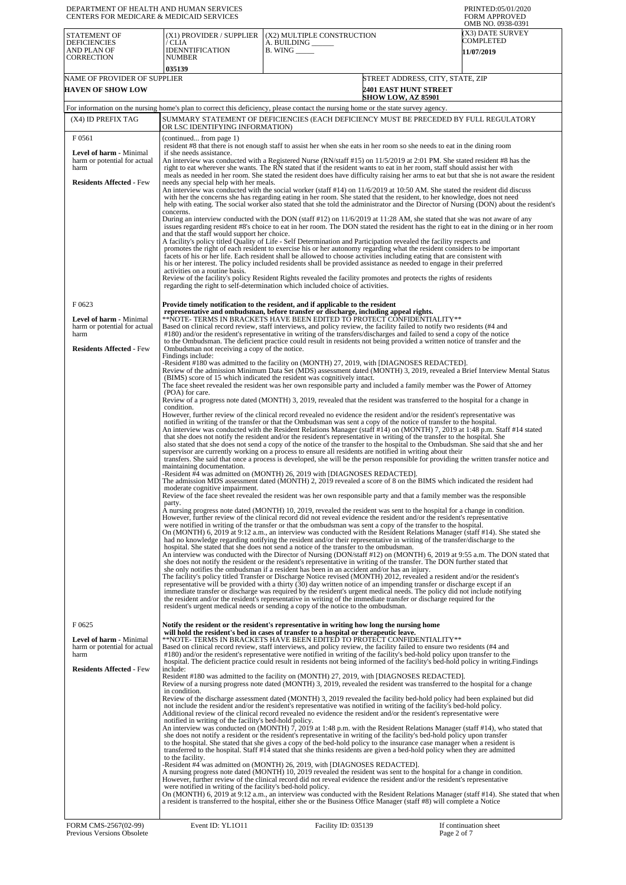| DEPARTMENT OF HEALTH AND HUMAN SERVICES<br>CENTERS FOR MEDICARE & MEDICAID SERVICES                         |                                                                                                                                                                                                                                                                                                                                                                                                                                                                                                                                                                                          |                                                                                                                                                                                                                                                                                                                                                                                                                                                                                                                                                                                                                                                                                                                                                                                                                                                                                                                                                                                                                                                                                                                                                                                                                                                                                                                                                                                                                                                                                                                                                                                                                                                                                                                                                                                                                                                                                                                                                                                                                                                                                                                                                                                                                                                                                                                                                                                                                                                                                                                                                                                                                                                                                                                                                                                                                                                                                                                                                                                                                                                                                                                                                                                                                                                                                                                                                                                                                                                                                                                      | PRINTED:05/01/2020<br><b>FORM APPROVED</b><br>OMB NO. 0938-0391 |  |
|-------------------------------------------------------------------------------------------------------------|------------------------------------------------------------------------------------------------------------------------------------------------------------------------------------------------------------------------------------------------------------------------------------------------------------------------------------------------------------------------------------------------------------------------------------------------------------------------------------------------------------------------------------------------------------------------------------------|----------------------------------------------------------------------------------------------------------------------------------------------------------------------------------------------------------------------------------------------------------------------------------------------------------------------------------------------------------------------------------------------------------------------------------------------------------------------------------------------------------------------------------------------------------------------------------------------------------------------------------------------------------------------------------------------------------------------------------------------------------------------------------------------------------------------------------------------------------------------------------------------------------------------------------------------------------------------------------------------------------------------------------------------------------------------------------------------------------------------------------------------------------------------------------------------------------------------------------------------------------------------------------------------------------------------------------------------------------------------------------------------------------------------------------------------------------------------------------------------------------------------------------------------------------------------------------------------------------------------------------------------------------------------------------------------------------------------------------------------------------------------------------------------------------------------------------------------------------------------------------------------------------------------------------------------------------------------------------------------------------------------------------------------------------------------------------------------------------------------------------------------------------------------------------------------------------------------------------------------------------------------------------------------------------------------------------------------------------------------------------------------------------------------------------------------------------------------------------------------------------------------------------------------------------------------------------------------------------------------------------------------------------------------------------------------------------------------------------------------------------------------------------------------------------------------------------------------------------------------------------------------------------------------------------------------------------------------------------------------------------------------------------------------------------------------------------------------------------------------------------------------------------------------------------------------------------------------------------------------------------------------------------------------------------------------------------------------------------------------------------------------------------------------------------------------------------------------------------------------------------------------|-----------------------------------------------------------------|--|
| STATEMENT OF<br><b>DEFICIENCIES</b><br>AND PLAN OF<br><b>CORRECTION</b>                                     | (X1) PROVIDER / SUPPLIER<br>/ CLIA<br><b>IDENNTIFICATION</b><br><b>NUMBER</b><br>035139                                                                                                                                                                                                                                                                                                                                                                                                                                                                                                  | (X2) MULTIPLE CONSTRUCTION<br>A. BUILDING _____<br>$B.$ WING $\_\_\_\_\_\_\$                                                                                                                                                                                                                                                                                                                                                                                                                                                                                                                                                                                                                                                                                                                                                                                                                                                                                                                                                                                                                                                                                                                                                                                                                                                                                                                                                                                                                                                                                                                                                                                                                                                                                                                                                                                                                                                                                                                                                                                                                                                                                                                                                                                                                                                                                                                                                                                                                                                                                                                                                                                                                                                                                                                                                                                                                                                                                                                                                                                                                                                                                                                                                                                                                                                                                                                                                                                                                                         | (X3) DATE SURVEY<br>COMPLETED<br>11/07/2019                     |  |
| NAME OF PROVIDER OF SUPPLIER<br><b>HAVEN OF SHOW LOW</b>                                                    |                                                                                                                                                                                                                                                                                                                                                                                                                                                                                                                                                                                          | <b>2401 EAST HUNT STREET</b>                                                                                                                                                                                                                                                                                                                                                                                                                                                                                                                                                                                                                                                                                                                                                                                                                                                                                                                                                                                                                                                                                                                                                                                                                                                                                                                                                                                                                                                                                                                                                                                                                                                                                                                                                                                                                                                                                                                                                                                                                                                                                                                                                                                                                                                                                                                                                                                                                                                                                                                                                                                                                                                                                                                                                                                                                                                                                                                                                                                                                                                                                                                                                                                                                                                                                                                                                                                                                                                                                         | STREET ADDRESS, CITY, STATE, ZIP                                |  |
|                                                                                                             |                                                                                                                                                                                                                                                                                                                                                                                                                                                                                                                                                                                          | <b>SHOW LOW, AZ 85901</b><br>For information on the nursing home's plan to correct this deficiency, please contact the nursing home or the state survey agency.                                                                                                                                                                                                                                                                                                                                                                                                                                                                                                                                                                                                                                                                                                                                                                                                                                                                                                                                                                                                                                                                                                                                                                                                                                                                                                                                                                                                                                                                                                                                                                                                                                                                                                                                                                                                                                                                                                                                                                                                                                                                                                                                                                                                                                                                                                                                                                                                                                                                                                                                                                                                                                                                                                                                                                                                                                                                                                                                                                                                                                                                                                                                                                                                                                                                                                                                                      |                                                                 |  |
| (X4) ID PREFIX TAG                                                                                          |                                                                                                                                                                                                                                                                                                                                                                                                                                                                                                                                                                                          | SUMMARY STATEMENT OF DEFICIENCIES (EACH DEFICIENCY MUST BE PRECEDED BY FULL REGULATORY                                                                                                                                                                                                                                                                                                                                                                                                                                                                                                                                                                                                                                                                                                                                                                                                                                                                                                                                                                                                                                                                                                                                                                                                                                                                                                                                                                                                                                                                                                                                                                                                                                                                                                                                                                                                                                                                                                                                                                                                                                                                                                                                                                                                                                                                                                                                                                                                                                                                                                                                                                                                                                                                                                                                                                                                                                                                                                                                                                                                                                                                                                                                                                                                                                                                                                                                                                                                                               |                                                                 |  |
| F0561                                                                                                       | OR LSC IDENTIFYING INFORMATION)<br>(continued from page 1)                                                                                                                                                                                                                                                                                                                                                                                                                                                                                                                               |                                                                                                                                                                                                                                                                                                                                                                                                                                                                                                                                                                                                                                                                                                                                                                                                                                                                                                                                                                                                                                                                                                                                                                                                                                                                                                                                                                                                                                                                                                                                                                                                                                                                                                                                                                                                                                                                                                                                                                                                                                                                                                                                                                                                                                                                                                                                                                                                                                                                                                                                                                                                                                                                                                                                                                                                                                                                                                                                                                                                                                                                                                                                                                                                                                                                                                                                                                                                                                                                                                                      |                                                                 |  |
| Level of harm - Minimal<br>harm or potential for actual<br>harm                                             | resident #8 that there is not enough staff to assist her when she eats in her room so she needs to eat in the dining room<br>if she needs assistance.<br>An interview was conducted with a Registered Nurse (RN/staff #15) on 11/5/2019 at 2:01 PM. She stated resident #8 has the<br>right to eat wherever she wants. The RN stated that if the resident wants to eat in her room, staff should assist her with                                                                                                                                                                         |                                                                                                                                                                                                                                                                                                                                                                                                                                                                                                                                                                                                                                                                                                                                                                                                                                                                                                                                                                                                                                                                                                                                                                                                                                                                                                                                                                                                                                                                                                                                                                                                                                                                                                                                                                                                                                                                                                                                                                                                                                                                                                                                                                                                                                                                                                                                                                                                                                                                                                                                                                                                                                                                                                                                                                                                                                                                                                                                                                                                                                                                                                                                                                                                                                                                                                                                                                                                                                                                                                                      |                                                                 |  |
| <b>Residents Affected - Few</b>                                                                             | meals as needed in her room. She stated the resident does have difficulty raising her arms to eat but that she is not aware the resident<br>needs any special help with her meals.<br>An interview was conducted with the social worker (staff #14) on 11/6/2019 at 10:50 AM. She stated the resident did discuss<br>with her the concerns she has regarding eating in her room. She stated that the resident, to her knowledge, does not need<br>help with eating. The social worker also stated that she told the administrator and the Director of Nursing (DON) about the resident's |                                                                                                                                                                                                                                                                                                                                                                                                                                                                                                                                                                                                                                                                                                                                                                                                                                                                                                                                                                                                                                                                                                                                                                                                                                                                                                                                                                                                                                                                                                                                                                                                                                                                                                                                                                                                                                                                                                                                                                                                                                                                                                                                                                                                                                                                                                                                                                                                                                                                                                                                                                                                                                                                                                                                                                                                                                                                                                                                                                                                                                                                                                                                                                                                                                                                                                                                                                                                                                                                                                                      |                                                                 |  |
|                                                                                                             | concerns.<br>and that the staff would support her choice.<br>activities on a routine basis.                                                                                                                                                                                                                                                                                                                                                                                                                                                                                              | During an interview conducted with the DON (staff #12) on 11/6/2019 at 11:28 AM, she stated that she was not aware of any<br>issues regarding resident #8's choice to eat in her room. The DON stated the resident has the right to eat in the dining or in her room<br>A facility's policy titled Quality of Life - Self Determination and Participation revealed the facility respects and<br>promotes the right of each resident to exercise his or her autonomy regarding what the resident considers to be important<br>facets of his or her life. Each resident shall be allowed to choose activities including eating that are consistent with<br>his or her interest. The policy included residents shall be provided assistance as needed to engage in their preferred<br>Review of the facility's policy Resident Rights revealed the facility promotes and protects the rights of residents<br>regarding the right to self-determination which included choice of activities.                                                                                                                                                                                                                                                                                                                                                                                                                                                                                                                                                                                                                                                                                                                                                                                                                                                                                                                                                                                                                                                                                                                                                                                                                                                                                                                                                                                                                                                                                                                                                                                                                                                                                                                                                                                                                                                                                                                                                                                                                                                                                                                                                                                                                                                                                                                                                                                                                                                                                                                             |                                                                 |  |
| F0623<br>Level of harm - Minimal<br>harm or potential for actual<br>harm<br><b>Residents Affected - Few</b> | Ombudsman not receiving a copy of the notice.                                                                                                                                                                                                                                                                                                                                                                                                                                                                                                                                            | Provide timely notification to the resident, and if applicable to the resident<br>representative and ombudsman, before transfer or discharge, including appeal rights.<br>**NOTE- TERMS IN BRACKETS HAVE BEEN EDITED TO PROTECT CONFIDENTIALITY**<br>Based on clinical record review, staff interviews, and policy review, the facility failed to notify two residents (#4 and<br>#180) and/or the resident's representative in writing of the transfers/discharges and failed to send a copy of the notice<br>to the Ombudsman. The deficient practice could result in residents not being provided a written notice of transfer and the                                                                                                                                                                                                                                                                                                                                                                                                                                                                                                                                                                                                                                                                                                                                                                                                                                                                                                                                                                                                                                                                                                                                                                                                                                                                                                                                                                                                                                                                                                                                                                                                                                                                                                                                                                                                                                                                                                                                                                                                                                                                                                                                                                                                                                                                                                                                                                                                                                                                                                                                                                                                                                                                                                                                                                                                                                                                            |                                                                 |  |
|                                                                                                             | Findings include:<br>(POA) for care.<br>condition.<br>maintaining documentation.<br>moderate cognitive impairment.<br>party.                                                                                                                                                                                                                                                                                                                                                                                                                                                             | -Resident #180 was admitted to the facility on (MONTH) 27, 2019, with [DIAGNOSES REDACTED].<br>Review of the admission Minimum Data Set (MDS) assessment dated (MONTH) 3, 2019, revealed a Brief Interview Mental Status<br>(BIMS) score of 15 which indicated the resident was cognitively intact.<br>The face sheet revealed the resident was her own responsible party and included a family member was the Power of Attorney<br>Review of a progress note dated (MONTH) 3, 2019, revealed that the resident was transferred to the hospital for a change in<br>However, further review of the clinical record revealed no evidence the resident and/or the resident's representative was<br>notified in writing of the transfer or that the Ombudsman was sent a copy of the notice of transfer to the hospital.<br>An interview was conducted with the Resident Relations Manager (staff #14) on (MONTH) 7, 2019 at 1:48 p.m. Staff #14 stated<br>that she does not notify the resident and/or the resident's representative in writing of the transfer to the hospital. She<br>also stated that she does not send a copy of the notice of the transfer to the hospital to the Ombudsman. She said that she and her<br>supervisor are currently working on a process to ensure all residents are notified in writing about their<br>transfers. She said that once a process is developed, she will be the person responsible for providing the written transfer notice and<br>-Resident $\#4$ was admitted on (MONTH) 26, 2019 with [DIAGNOSES REDACTED].<br>The admission MDS assessment dated (MONTH) 2, 2019 revealed a score of 8 on the BIMS which indicated the resident had<br>Review of the face sheet revealed the resident was her own responsible party and that a family member was the responsible<br>A nursing progress note dated (MONTH) 10, 2019, revealed the resident was sent to the hospital for a change in condition.<br>However, further review of the clinical record did not reveal evidence the resident and/or the resident's representative<br>were notified in writing of the transfer or that the ombudsman was sent a copy of the transfer to the hospital.<br>On (MONTH) 6, 2019 at 9:12 a.m., an interview was conducted with the Resident Relations Manager (staff #14). She stated she<br>had no knowledge regarding notifying the resident and/or their representative in writing of the transfer/discharge to the<br>hospital. She stated that she does not send a notice of the transfer to the ombudsman.<br>An interview was conducted with the Director of Nursing (DON/staff #12) on (MONTH) 6, 2019 at 9:55 a.m. The DON stated that<br>she does not notify the resident or the resident's representative in writing of the transfer. The DON further stated that<br>she only notifies the ombudsman if a resident has been in an accident and/or has an injury.<br>The facility's policy titled Transfer or Discharge Notice revised (MONTH) 2012, revealed a resident and/or the resident's<br>representative will be provided with a thirty (30) day written notice of an impending transfer or discharge except if an<br>immediate transfer or discharge was required by the resident's urgent medical needs. The policy did not include notifying<br>the resident and/or the resident's representative in writing of the immediate transfer or discharge required for the<br>resident's urgent medical needs or sending a copy of the notice to the ombudsman. |                                                                 |  |
| F0625<br>Level of harm - Minimal<br>harm or potential for actual<br>harm<br><b>Residents Affected - Few</b> | include:<br>in condition.<br>notified in writing of the facility's bed-hold policy.<br>to the facility.<br>were notified in writing of the facility's bed-hold policy.                                                                                                                                                                                                                                                                                                                                                                                                                   | Notify the resident or the resident's representative in writing how long the nursing home<br>will hold the resident's bed in cases of transfer to a hospital or therapeutic leave.<br>**NOTE-TERMS IN BRACKETS HAVE BEEN EDITED TO PROTECT CONFIDENTIALITY**<br>Based on clinical record review, staff interviews, and policy review, the facility failed to ensure two residents (#4 and<br>#180) and/or the resident's representative were notified in writing of the facility's bed-hold policy upon transfer to the<br>hospital. The deficient practice could result in residents not being informed of the facility's bed-hold policy in writing. Findings<br>Resident #180 was admitted to the facility on (MONTH) 27, 2019, with [DIAGNOSES REDACTED].<br>Review of a nursing progress note dated (MONTH) 3, 2019, revealed the resident was transferred to the hospital for a change<br>Review of the discharge assessment dated (MONTH) 3, 2019 revealed the facility bed-hold policy had been explained but did<br>not include the resident and/or the resident's representative was notified in writing of the facility's bed-hold policy.<br>Additional review of the clinical record revealed no evidence the resident and/or the resident's representative were<br>An interview was conducted on (MONTH) 7, 2019 at 1:48 p.m. with the Resident Relations Manager (staff #14), who stated that<br>she does not notify a resident or the resident's representative in writing of the facility's bed-hold policy upon transfer<br>to the hospital. She stated that she gives a copy of the bed-hold policy to the insurance case manager when a resident is<br>transferred to the hospital. Staff #14 stated that she thinks residents are given a bed-hold policy when they are admitted<br>-Resident #4 was admitted on (MONTH) 26, 2019, with [DIAGNOSES REDACTED].<br>A nursing progress note dated (MONTH) 10, 2019 revealed the resident was sent to the hospital for a change in condition.<br>However, further review of the clinical record did not reveal evidence the resident and/or the resident's representative<br>On (MONTH) 6, 2019 at 9:12 a.m., an interview was conducted with the Resident Relations Manager (staff #14). She stated that when<br>a resident is transferred to the hospital, either she or the Business Office Manager (staff #8) will complete a Notice                                                                                                                                                                                                                                                                                                                                                                                                                                                                                                                                                                                                                                                                                                                                                                                                                                                                                                                                                                                                                                                                                                            |                                                                 |  |
| FORM CMS-2567(02-99)<br>Previous Versions Obsolete                                                          | Event ID: YL1011                                                                                                                                                                                                                                                                                                                                                                                                                                                                                                                                                                         | Facility ID: 035139                                                                                                                                                                                                                                                                                                                                                                                                                                                                                                                                                                                                                                                                                                                                                                                                                                                                                                                                                                                                                                                                                                                                                                                                                                                                                                                                                                                                                                                                                                                                                                                                                                                                                                                                                                                                                                                                                                                                                                                                                                                                                                                                                                                                                                                                                                                                                                                                                                                                                                                                                                                                                                                                                                                                                                                                                                                                                                                                                                                                                                                                                                                                                                                                                                                                                                                                                                                                                                                                                                  | If continuation sheet<br>Page 2 of 7                            |  |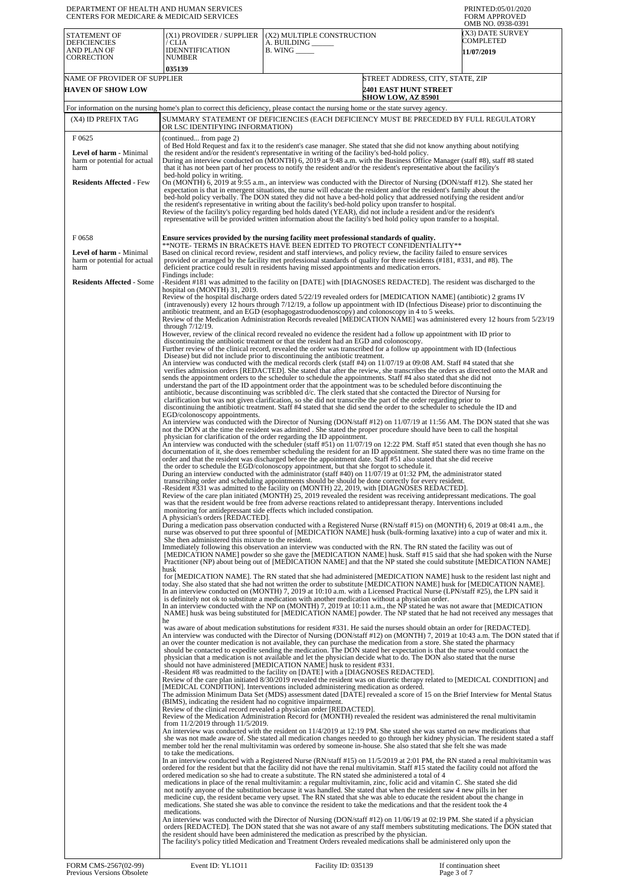| DEPARTMENT OF HEALTH AND HUMAN SERVICES<br><b>CENTERS FOR MEDICARE &amp; MEDICAID SERVICES</b>               |                                                                                                                                                                                                                                                                                                                                                                                                                                                                                                                                                                                                                                                                                                                                                                                                                                                                                                                                                                                                                                                                                                                                                                                                                                                                     |                                                                                                                                                                                                                                                                                                                                                                                                                                                                                                                                                                                                                                                                                                                                                                                                                                                                                                                                                                                                                                                                                                                                                                                                                                                                                                                                                                                                                                                                                                                                                                                                                                                                                                                                                                                                                                                                                                                                                                                                                                                                                                                                                                                                                                                                                                                                                                                                                                                                                                                                                                                                                                                                                                                                                                                                                                                                                                                                                                                                                                                                                                                                                                                                                                                                                                                                                                                                                                                                                                                                                                                                                                                                                                                                                                                                                                                                                                                                                                                                                                                                                                                                                                                                                                                                                                                                                                                                                                                                                                                                                                                                         | PRINTED:05/01/2020<br><b>FORM APPROVED</b><br>OMB NO. 0938-0391 |  |
|--------------------------------------------------------------------------------------------------------------|---------------------------------------------------------------------------------------------------------------------------------------------------------------------------------------------------------------------------------------------------------------------------------------------------------------------------------------------------------------------------------------------------------------------------------------------------------------------------------------------------------------------------------------------------------------------------------------------------------------------------------------------------------------------------------------------------------------------------------------------------------------------------------------------------------------------------------------------------------------------------------------------------------------------------------------------------------------------------------------------------------------------------------------------------------------------------------------------------------------------------------------------------------------------------------------------------------------------------------------------------------------------|---------------------------------------------------------------------------------------------------------------------------------------------------------------------------------------------------------------------------------------------------------------------------------------------------------------------------------------------------------------------------------------------------------------------------------------------------------------------------------------------------------------------------------------------------------------------------------------------------------------------------------------------------------------------------------------------------------------------------------------------------------------------------------------------------------------------------------------------------------------------------------------------------------------------------------------------------------------------------------------------------------------------------------------------------------------------------------------------------------------------------------------------------------------------------------------------------------------------------------------------------------------------------------------------------------------------------------------------------------------------------------------------------------------------------------------------------------------------------------------------------------------------------------------------------------------------------------------------------------------------------------------------------------------------------------------------------------------------------------------------------------------------------------------------------------------------------------------------------------------------------------------------------------------------------------------------------------------------------------------------------------------------------------------------------------------------------------------------------------------------------------------------------------------------------------------------------------------------------------------------------------------------------------------------------------------------------------------------------------------------------------------------------------------------------------------------------------------------------------------------------------------------------------------------------------------------------------------------------------------------------------------------------------------------------------------------------------------------------------------------------------------------------------------------------------------------------------------------------------------------------------------------------------------------------------------------------------------------------------------------------------------------------------------------------------------------------------------------------------------------------------------------------------------------------------------------------------------------------------------------------------------------------------------------------------------------------------------------------------------------------------------------------------------------------------------------------------------------------------------------------------------------------------------------------------------------------------------------------------------------------------------------------------------------------------------------------------------------------------------------------------------------------------------------------------------------------------------------------------------------------------------------------------------------------------------------------------------------------------------------------------------------------------------------------------------------------------------------------------------------------------------------------------------------------------------------------------------------------------------------------------------------------------------------------------------------------------------------------------------------------------------------------------------------------------------------------------------------------------------------------------------------------------------------------------------------------------------------------------|-----------------------------------------------------------------|--|
| STATEMENT OF<br><b>DEFICIENCIES</b><br>AND PLAN OF<br><b>CORRECTION</b>                                      | (X1) PROVIDER / SUPPLIER<br>/ CLIA<br><b>IDENNTIFICATION</b><br><b>NUMBER</b><br>035139                                                                                                                                                                                                                                                                                                                                                                                                                                                                                                                                                                                                                                                                                                                                                                                                                                                                                                                                                                                                                                                                                                                                                                             | (X2) MULTIPLE CONSTRUCTION<br>A. BUILDING __<br>$B.$ WING $\_\_\_\_\_\_\_\$                                                                                                                                                                                                                                                                                                                                                                                                                                                                                                                                                                                                                                                                                                                                                                                                                                                                                                                                                                                                                                                                                                                                                                                                                                                                                                                                                                                                                                                                                                                                                                                                                                                                                                                                                                                                                                                                                                                                                                                                                                                                                                                                                                                                                                                                                                                                                                                                                                                                                                                                                                                                                                                                                                                                                                                                                                                                                                                                                                                                                                                                                                                                                                                                                                                                                                                                                                                                                                                                                                                                                                                                                                                                                                                                                                                                                                                                                                                                                                                                                                                                                                                                                                                                                                                                                                                                                                                                                                                                                                                             | (X3) DATE SURVEY<br>COMPLETED<br>11/07/2019                     |  |
| NAME OF PROVIDER OF SUPPLIER<br><b>HAVEN OF SHOW LOW</b>                                                     |                                                                                                                                                                                                                                                                                                                                                                                                                                                                                                                                                                                                                                                                                                                                                                                                                                                                                                                                                                                                                                                                                                                                                                                                                                                                     | <b>2401 EAST HUNT STREET</b>                                                                                                                                                                                                                                                                                                                                                                                                                                                                                                                                                                                                                                                                                                                                                                                                                                                                                                                                                                                                                                                                                                                                                                                                                                                                                                                                                                                                                                                                                                                                                                                                                                                                                                                                                                                                                                                                                                                                                                                                                                                                                                                                                                                                                                                                                                                                                                                                                                                                                                                                                                                                                                                                                                                                                                                                                                                                                                                                                                                                                                                                                                                                                                                                                                                                                                                                                                                                                                                                                                                                                                                                                                                                                                                                                                                                                                                                                                                                                                                                                                                                                                                                                                                                                                                                                                                                                                                                                                                                                                                                                                            | STREET ADDRESS, CITY, STATE, ZIP                                |  |
|                                                                                                              |                                                                                                                                                                                                                                                                                                                                                                                                                                                                                                                                                                                                                                                                                                                                                                                                                                                                                                                                                                                                                                                                                                                                                                                                                                                                     | <b>SHOW LOW, AZ 85901</b>                                                                                                                                                                                                                                                                                                                                                                                                                                                                                                                                                                                                                                                                                                                                                                                                                                                                                                                                                                                                                                                                                                                                                                                                                                                                                                                                                                                                                                                                                                                                                                                                                                                                                                                                                                                                                                                                                                                                                                                                                                                                                                                                                                                                                                                                                                                                                                                                                                                                                                                                                                                                                                                                                                                                                                                                                                                                                                                                                                                                                                                                                                                                                                                                                                                                                                                                                                                                                                                                                                                                                                                                                                                                                                                                                                                                                                                                                                                                                                                                                                                                                                                                                                                                                                                                                                                                                                                                                                                                                                                                                                               |                                                                 |  |
| (X4) ID PREFIX TAG                                                                                           | OR LSC IDENTIFYING INFORMATION)                                                                                                                                                                                                                                                                                                                                                                                                                                                                                                                                                                                                                                                                                                                                                                                                                                                                                                                                                                                                                                                                                                                                                                                                                                     | For information on the nursing home's plan to correct this deficiency, please contact the nursing home or the state survey agency.<br>SUMMARY STATEMENT OF DEFICIENCIES (EACH DEFICIENCY MUST BE PRECEDED BY FULL REGULATORY                                                                                                                                                                                                                                                                                                                                                                                                                                                                                                                                                                                                                                                                                                                                                                                                                                                                                                                                                                                                                                                                                                                                                                                                                                                                                                                                                                                                                                                                                                                                                                                                                                                                                                                                                                                                                                                                                                                                                                                                                                                                                                                                                                                                                                                                                                                                                                                                                                                                                                                                                                                                                                                                                                                                                                                                                                                                                                                                                                                                                                                                                                                                                                                                                                                                                                                                                                                                                                                                                                                                                                                                                                                                                                                                                                                                                                                                                                                                                                                                                                                                                                                                                                                                                                                                                                                                                                            |                                                                 |  |
| F0625                                                                                                        | (continued from page 2)                                                                                                                                                                                                                                                                                                                                                                                                                                                                                                                                                                                                                                                                                                                                                                                                                                                                                                                                                                                                                                                                                                                                                                                                                                             |                                                                                                                                                                                                                                                                                                                                                                                                                                                                                                                                                                                                                                                                                                                                                                                                                                                                                                                                                                                                                                                                                                                                                                                                                                                                                                                                                                                                                                                                                                                                                                                                                                                                                                                                                                                                                                                                                                                                                                                                                                                                                                                                                                                                                                                                                                                                                                                                                                                                                                                                                                                                                                                                                                                                                                                                                                                                                                                                                                                                                                                                                                                                                                                                                                                                                                                                                                                                                                                                                                                                                                                                                                                                                                                                                                                                                                                                                                                                                                                                                                                                                                                                                                                                                                                                                                                                                                                                                                                                                                                                                                                                         |                                                                 |  |
| Level of harm - Minimal<br>harm or potential for actual<br>harm<br><b>Residents Affected - Few</b>           | of Bed Hold Request and fax it to the resident's case manager. She stated that she did not know anything about notifying<br>the resident and/or the resident's representative in writing of the facility's bed-hold policy.<br>During an interview conducted on (MONTH) 6, 2019 at 9:48 a.m. with the Business Office Manager (staff #8), staff #8 stated<br>that it has not been part of her process to notify the resident and/or the resident's representative about the facility's<br>bed-hold policy in writing.<br>On (MONTH) 6, 2019 at 9:55 a.m., an interview was conducted with the Director of Nursing (DON/staff #12). She stated her<br>expectation is that in emergent situations, the nurse will educate the resident and/or the resident's family about the<br>bed-hold policy verbally. The DON stated they did not have a bed-hold policy that addressed notifying the resident and/or<br>the resident's representative in writing about the facility's bed-hold policy upon transfer to hospital.<br>Review of the facility's policy regarding bed holds dated (YEAR), did not include a resident and/or the resident's<br>representative will be provided written information about the facility's bed hold policy upon transfer to a hospital. |                                                                                                                                                                                                                                                                                                                                                                                                                                                                                                                                                                                                                                                                                                                                                                                                                                                                                                                                                                                                                                                                                                                                                                                                                                                                                                                                                                                                                                                                                                                                                                                                                                                                                                                                                                                                                                                                                                                                                                                                                                                                                                                                                                                                                                                                                                                                                                                                                                                                                                                                                                                                                                                                                                                                                                                                                                                                                                                                                                                                                                                                                                                                                                                                                                                                                                                                                                                                                                                                                                                                                                                                                                                                                                                                                                                                                                                                                                                                                                                                                                                                                                                                                                                                                                                                                                                                                                                                                                                                                                                                                                                                         |                                                                 |  |
| F0658<br>Level of harm - Minimal<br>harm or potential for actual<br>harm<br><b>Residents Affected - Some</b> | Findings include:<br>hospital on (MONTH) 31, 2019.<br>through $7/12/19$ .<br>EGD/colonoscopy appointments.<br>A physician's orders [REDACTED].<br>She then administered this mixture to the resident.                                                                                                                                                                                                                                                                                                                                                                                                                                                                                                                                                                                                                                                                                                                                                                                                                                                                                                                                                                                                                                                               | Ensure services provided by the nursing facility meet professional standards of quality.<br>**NOTE- TERMS IN BRACKETS HAVE BEEN EDITED TO PROTECT CONFIDENTIALITY**<br>Based on clinical record review, resident and staff interviews, and policy review, the facility failed to ensure services<br>provided or arranged by the facility met professional standards of quality for three residents (#181, #331, and #8). The<br>deficient practice could result in residents having missed appointments and medication errors.<br>-Resident #181 was admitted to the facility on [DATE] with [DIAGNOSES REDACTED]. The resident was discharged to the<br>Review of the hospital discharge orders dated 5/22/19 revealed orders for [MEDICATION NAME] (antibiotic) 2 grams IV<br>(intravenously) every 12 hours through $7/12/19$ , a follow up appointment with ID (Infectious Disease) prior to discontinuing the<br>antibiotic treatment, and an EGD (esophagogastroduodenoscopy) and colonoscopy in 4 to 5 weeks.<br>Review of the Medication Administration Records revealed [MEDICATION NAME] was administered every 12 hours from 5/23/19<br>However, review of the clinical record revealed no evidence the resident had a follow up appointment with ID prior to<br>discontinuing the antibiotic treatment or that the resident had an EGD and colonescopy.<br>Further review of the clinical record, revealed the order was transcribed for a follow up appointment with ID (Infectious<br>Disease) but did not include prior to discontinuing the antibiotic treatment.<br>An interview was conducted with the medical records clerk (staff #4) on 11/07/19 at 09:08 AM. Staff #4 stated that she<br>verifies admission orders [REDACTED]. She stated that after the review, she transcribes the orders as directed onto the MAR and<br>sends the appointment orders to the scheduler to schedule the appointments. Staff #4 also stated that she did not<br>understand the part of the ID appointment order that the appointment was to be scheduled before discontinuing the<br>antibiotic, because discontinuing was scribbled d/c. The clerk stated that she contacted the Director of Nursing for<br>clarification but was not given clarification, so she did not transcribe the part of the order regarding prior to<br>discontinuing the antibiotic treatment. Staff #4 stated that she did send the order to the scheduler to schedule the ID and<br>An interview was conducted with the Director of Nursing (DON/staff #12) on 11/07/19 at 11:56 AM. The DON stated that she was<br>not the DON at the time the resident was admitted. She stated the proper procedure should have been to call the hospital<br>physician for clarification of the order regarding the ID appointment.<br>An interview was conducted with the scheduler (staff #51) on 11/07/19 on 12:22 PM. Staff #51 stated that even though she has no<br>documentation of it, she does remember scheduling the resident for an ID appointment. She stated there was no time frame on the<br>order and that the resident was discharged before the appointment date. Staff #51 also stated that she did receive<br>the order to schedule the EGD/colonoscopy appointment, but that she forgot to schedule it.<br>During an interview conducted with the administrator (staff #40) on 11/07/19 at 01:32 PM, the administrator stated<br>transcribing order and scheduling appointments should be should be done correctly for every resident.<br>-Resident #331 was admitted to the facility on (MONTH) 22, 2019, with [DIAGNOSES REDACTED].<br>Review of the care plan initiated (MONTH) 25, 2019 revealed the resident was receiving antidepressant medications. The goal<br>was that the resident would be free from adverse reactions related to antidepressant therapy. Interventions included<br>monitoring for antidepressant side effects which included constipation.<br>During a medication pass observation conducted with a Registered Nurse (RN/staff #15) on (MONTH) 6, 2019 at 08:41 a.m., the<br>nurse was observed to put three spoonful of [MEDICATION NAME] husk (bulk-forming laxative) into a cup of water and mix it.<br>Immediately following this observation an interview was conducted with the RN. The RN stated the facility was out of<br>[MEDICATION NAME] powder so she gave the [MEDICATION NAME] husk. Staff #15 said that she had spoken with the Nurse<br>Practitioner (NP) about being out of [MEDICATION NAME] and that the NP stated she could substitute [MEDICATION NAME] |                                                                 |  |
|                                                                                                              | husk<br>he<br>(BIMS), indicating the resident had no cognitive impairment.<br>from $11/2/2019$ through $11/5/2019$ .<br>to take the medications.<br>medications.                                                                                                                                                                                                                                                                                                                                                                                                                                                                                                                                                                                                                                                                                                                                                                                                                                                                                                                                                                                                                                                                                                    | for [MEDICATION NAME]. The RN stated that she had administered [MEDICATION NAME] husk to the resident last night and<br>today. She also stated that she had not written the order to substitute [MEDICATION NAME] husk for [MEDICATION NAME].<br>In an interview conducted on (MONTH) 7, 2019 at 10:10 a.m. with a Licensed Practical Nurse (LPN/staff #25), the LPN said it<br>is definitely not ok to substitute a medication with another medication without a physician order.<br>In an interview conducted with the NP on (MONTH) 7, 2019 at 10:11 a.m., the NP stated he was not aware that [MEDICATION<br>NAME] husk was being substituted for [MEDICATION NAME] powder. The NP stated that he had not received any messages that<br>was aware of about medication substitutions for resident #331. He said the nurses should obtain an order for [REDACTED].<br>An interview was conducted with the Director of Nursing (DON/staff #12) on (MONTH) 7, 2019 at 10:43 a.m. The DON stated that if<br>an over the counter medication is not available, they can purchase the medication from a store. She stated the pharmacy<br>should be contacted to expedite sending the medication. The DON stated her expectation is that the nurse would contact the<br>physician that a medication is not available and let the physician decide what to do. The DON also stated that the nurse<br>should not have administered [MEDICATION NAME] husk to resident #331.<br>-Resident #8 was readmitted to the facility on [DATE] with a [DIAGNOSES REDACTED].<br>Review of the care plan initiated 8/30/2019 revealed the resident was on diuretic therapy related to [MEDICAL CONDITION] and<br>[MEDICAL CONDITION]. Interventions included administering medication as ordered.<br>The admission Minimum Data Set (MDS) assessment dated [DATE] revealed a score of 15 on the Brief Interview for Mental Status<br>Review of the clinical record revealed a physician order [REDACTED].<br>Review of the Medication Administration Record for (MONTH) revealed the resident was administered the renal multivitamin<br>An interview was conducted with the resident on $11/4/2019$ at 12:19 PM. She stated she was started on new medications that<br>she was not made aware of. She stated all medication changes needed to go through her kidney physician. The resident stated a staff<br>member told her the renal multivitamin was ordered by someone in-house. She also stated that she felt she was made<br>In an interview conducted with a Registered Nurse (RN/staff #15) on 11/5/2019 at 2:01 PM, the RN stated a renal multivitamin was<br>ordered for the resident but that the facility did not have the renal multivitamin. Staff #15 stated the facility could not afford the<br>ordered medication so she had to create a substitute. The RN stated she administered a total of 4<br>medications in place of the renal multivitamin: a regular multivitamin, zinc, folic acid and vitamin C. She stated she did<br>not notify anyone of the substitution because it was handled. She stated that when the resident saw 4 new pills in her<br>medicine cup, the resident became very upset. The RN stated that she was able to educate the resident about the change in<br>medications. She stated she was able to convince the resident to take the medications and that the resident took the 4<br>An interview was conducted with the Director of Nursing (DON/staff #12) on 11/06/19 at 02:19 PM. She stated if a physician<br>orders [REDACTED]. The DON stated that she was not aware of any staff members substituting medications. The DON stated that<br>the resident should have been administered the medication as prescribed by the physician.<br>The facility's policy titled Medication and Treatment Orders revealed medications shall be administered only upon the                                                                                                                                                                                                                                                                                                                                                                                                                                                                                                                                                                                                                                                                                                    |                                                                 |  |
| FORM CMS-2567(02-99)<br>Previous Versions Obsolete                                                           | Event ID: YL1011                                                                                                                                                                                                                                                                                                                                                                                                                                                                                                                                                                                                                                                                                                                                                                                                                                                                                                                                                                                                                                                                                                                                                                                                                                                    | Facility ID: 035139                                                                                                                                                                                                                                                                                                                                                                                                                                                                                                                                                                                                                                                                                                                                                                                                                                                                                                                                                                                                                                                                                                                                                                                                                                                                                                                                                                                                                                                                                                                                                                                                                                                                                                                                                                                                                                                                                                                                                                                                                                                                                                                                                                                                                                                                                                                                                                                                                                                                                                                                                                                                                                                                                                                                                                                                                                                                                                                                                                                                                                                                                                                                                                                                                                                                                                                                                                                                                                                                                                                                                                                                                                                                                                                                                                                                                                                                                                                                                                                                                                                                                                                                                                                                                                                                                                                                                                                                                                                                                                                                                                                     | If continuation sheet<br>Page 3 of 7                            |  |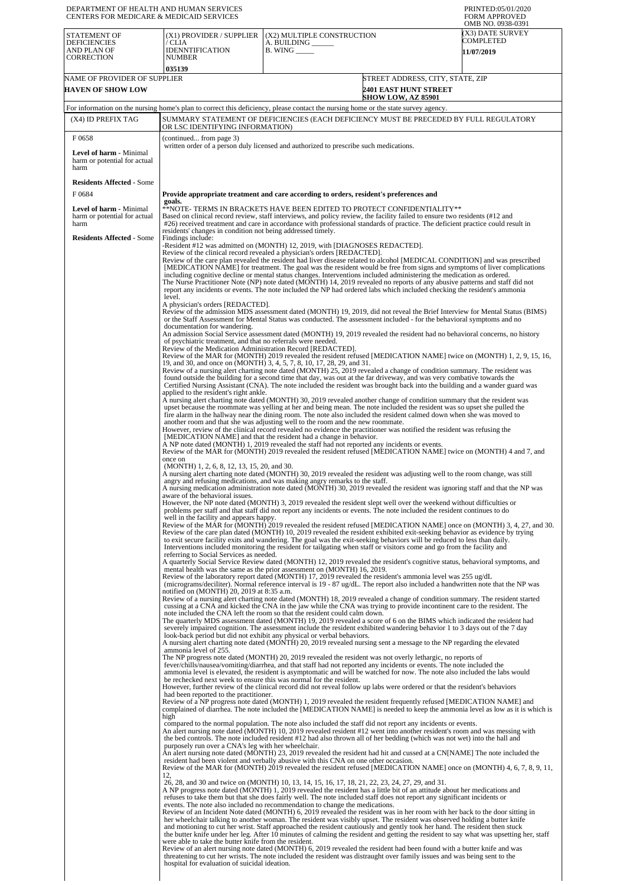| CENTERS FOR MEDICARE & MEDICAID SERVICES                         | DEPARTMENT OF HEALTH AND HUMAN SERVICES                                                                                                                                                                                                                                                                                                                                                                                                                                                                                                                                                                                                                                                                                      |                                                                                                                                                                                                                                                                                                                                                                                                                                        | PRINTED:05/01/2020<br><b>FORM APPROVED</b><br>OMB NO. 0938-0391                                                                                                                                                                                                                                                                                                                                                                                                                                                                  |  |
|------------------------------------------------------------------|------------------------------------------------------------------------------------------------------------------------------------------------------------------------------------------------------------------------------------------------------------------------------------------------------------------------------------------------------------------------------------------------------------------------------------------------------------------------------------------------------------------------------------------------------------------------------------------------------------------------------------------------------------------------------------------------------------------------------|----------------------------------------------------------------------------------------------------------------------------------------------------------------------------------------------------------------------------------------------------------------------------------------------------------------------------------------------------------------------------------------------------------------------------------------|----------------------------------------------------------------------------------------------------------------------------------------------------------------------------------------------------------------------------------------------------------------------------------------------------------------------------------------------------------------------------------------------------------------------------------------------------------------------------------------------------------------------------------|--|
| STATEMENT OF<br><b>DEFICIENCIES</b><br>AND PLAN OF<br>CORRECTION | (X1) PROVIDER / SUPPLIER<br>/ CLIA<br><b>IDENNTIFICATION</b><br><b>NUMBER</b><br>035139                                                                                                                                                                                                                                                                                                                                                                                                                                                                                                                                                                                                                                      | (X2) MULTIPLE CONSTRUCTION<br>A. BUILDING ______<br>$B.$ WING $\_\_\_\_\_\$                                                                                                                                                                                                                                                                                                                                                            | (X3) DATE SURVEY<br>COMPLETED<br>11/07/2019                                                                                                                                                                                                                                                                                                                                                                                                                                                                                      |  |
| NAME OF PROVIDER OF SUPPLIER<br><b>HAVEN OF SHOW LOW</b>         |                                                                                                                                                                                                                                                                                                                                                                                                                                                                                                                                                                                                                                                                                                                              |                                                                                                                                                                                                                                                                                                                                                                                                                                        | STREET ADDRESS, CITY, STATE, ZIP<br><b>2401 EAST HUNT STREET</b><br><b>SHOW LOW, AZ 85901</b>                                                                                                                                                                                                                                                                                                                                                                                                                                    |  |
| (X4) ID PREFIX TAG                                               |                                                                                                                                                                                                                                                                                                                                                                                                                                                                                                                                                                                                                                                                                                                              | For information on the nursing home's plan to correct this deficiency, please contact the nursing home or the state survey agency.                                                                                                                                                                                                                                                                                                     | SUMMARY STATEMENT OF DEFICIENCIES (EACH DEFICIENCY MUST BE PRECEDED BY FULL REGULATORY                                                                                                                                                                                                                                                                                                                                                                                                                                           |  |
| F0658                                                            | OR LSC IDENTIFYING INFORMATION)<br>(continued from page 3)                                                                                                                                                                                                                                                                                                                                                                                                                                                                                                                                                                                                                                                                   |                                                                                                                                                                                                                                                                                                                                                                                                                                        |                                                                                                                                                                                                                                                                                                                                                                                                                                                                                                                                  |  |
| Level of harm - Minimal<br>harm or potential for actual<br>harm  |                                                                                                                                                                                                                                                                                                                                                                                                                                                                                                                                                                                                                                                                                                                              | written order of a person duly licensed and authorized to prescribe such medications.                                                                                                                                                                                                                                                                                                                                                  |                                                                                                                                                                                                                                                                                                                                                                                                                                                                                                                                  |  |
| <b>Residents Affected - Some</b>                                 |                                                                                                                                                                                                                                                                                                                                                                                                                                                                                                                                                                                                                                                                                                                              |                                                                                                                                                                                                                                                                                                                                                                                                                                        |                                                                                                                                                                                                                                                                                                                                                                                                                                                                                                                                  |  |
| F0684                                                            | goals.                                                                                                                                                                                                                                                                                                                                                                                                                                                                                                                                                                                                                                                                                                                       | Provide appropriate treatment and care according to orders, resident's preferences and                                                                                                                                                                                                                                                                                                                                                 |                                                                                                                                                                                                                                                                                                                                                                                                                                                                                                                                  |  |
| Level of harm - Minimal<br>harm or potential for actual<br>harm  | **NOTE- TERMS IN BRACKETS HAVE BEEN EDITED TO PROTECT CONFIDENTIALITY**<br>Based on clinical record review, staff interviews, and policy review, the facility failed to ensure two residents (#12 and<br>#26) received treatment and care in accordance with professional standards of practice. The deficient practice could result in<br>residents' changes in condition not being addressed timely.                                                                                                                                                                                                                                                                                                                       |                                                                                                                                                                                                                                                                                                                                                                                                                                        |                                                                                                                                                                                                                                                                                                                                                                                                                                                                                                                                  |  |
| <b>Residents Affected - Some</b>                                 | Findings include:                                                                                                                                                                                                                                                                                                                                                                                                                                                                                                                                                                                                                                                                                                            | -Resident #12 was admitted on (MONTH) 12, 2019, with [DIAGNOSES REDACTED].                                                                                                                                                                                                                                                                                                                                                             |                                                                                                                                                                                                                                                                                                                                                                                                                                                                                                                                  |  |
|                                                                  | Review of the clinical record revealed a physician's orders [REDACTED].<br>Review of the care plan revealed the resident had liver disease related to alcohol [MEDICAL CONDITION] and was prescribed<br>[MEDICATION NAME] for treatment. The goal was the resident would be free from signs and symptoms of liver complications<br>including cognitive decline or mental status changes. Interventions included administering the medication as ordered.<br>The Nurse Practitioner Note (NP) note dated (MONTH) 14, 2019 revealed no reports of any abusive patterns and staff did not<br>report any incidents or events. The note included the NP had ordered labs which included checking the resident's ammonia<br>level. |                                                                                                                                                                                                                                                                                                                                                                                                                                        |                                                                                                                                                                                                                                                                                                                                                                                                                                                                                                                                  |  |
|                                                                  | A physician's orders [REDACTED].<br>documentation for wandering.                                                                                                                                                                                                                                                                                                                                                                                                                                                                                                                                                                                                                                                             |                                                                                                                                                                                                                                                                                                                                                                                                                                        | Review of the admission MDS assessment dated (MONTH) 19, 2019, did not reveal the Brief Interview for Mental Status (BIMS)<br>or the Staff Assessment for Mental Status was conducted. The assessment included - for the behavioral symptoms and no                                                                                                                                                                                                                                                                              |  |
|                                                                  | of psychiatric treatment, and that no referrals were needed.                                                                                                                                                                                                                                                                                                                                                                                                                                                                                                                                                                                                                                                                 |                                                                                                                                                                                                                                                                                                                                                                                                                                        | An admission Social Service assessment dated (MONTH) 19, 2019 revealed the resident had no behavioral concerns, no history                                                                                                                                                                                                                                                                                                                                                                                                       |  |
|                                                                  | Review of the Medication Administration Record [REDACTED].<br>Review of the MAR for (MONTH) 2019 revealed the resident refused [MEDICATION NAME] twice on (MONTH) 1, 2, 9, 15, 16,<br>19, and 30, and once on (MONTH) 3, 4, 5, 7, 8, 10, 17, 28, 29, and 31.                                                                                                                                                                                                                                                                                                                                                                                                                                                                 |                                                                                                                                                                                                                                                                                                                                                                                                                                        |                                                                                                                                                                                                                                                                                                                                                                                                                                                                                                                                  |  |
|                                                                  | Review of a nursing alert charting note dated (MONTH) 25, 2019 revealed a change of condition summary. The resident was<br>found outside the building for a second time that day, was out at the far driveway, and was very combative towards the<br>Certified Nursing Assistant (CNA). The note included the resident was brought back into the building and a wander guard was<br>applied to the resident's right ankle.                                                                                                                                                                                                                                                                                                   |                                                                                                                                                                                                                                                                                                                                                                                                                                        |                                                                                                                                                                                                                                                                                                                                                                                                                                                                                                                                  |  |
|                                                                  |                                                                                                                                                                                                                                                                                                                                                                                                                                                                                                                                                                                                                                                                                                                              | fire alarm in the hallway near the dining room. The note also included the resident calmed down when she was moved to<br>another room and that she was adjusting well to the room and the new roommate.                                                                                                                                                                                                                                | A nursing alert charting note dated (MONTH) 30, 2019 revealed another change of condition summary that the resident was<br>upset because the roommate was yelling at her and being mean. The note included the resident was so upset she pulled the                                                                                                                                                                                                                                                                              |  |
|                                                                  | However, review of the clinical record revealed no evidence the practitioner was notified the resident was refusing the<br>[MEDICATION NAME] and that the resident had a change in behavior.<br>A NP note dated (MONTH) 1, 2019 revealed the staff had not reported any incidents or events.                                                                                                                                                                                                                                                                                                                                                                                                                                 |                                                                                                                                                                                                                                                                                                                                                                                                                                        |                                                                                                                                                                                                                                                                                                                                                                                                                                                                                                                                  |  |
|                                                                  | Review of the MAR for (MONTH) 2019 revealed the resident refused [MEDICATION NAME] twice on (MONTH) 4 and 7, and<br>once on<br>(MONTH) 1, 2, 6, 8, 12, 13, 15, 20, and 30.                                                                                                                                                                                                                                                                                                                                                                                                                                                                                                                                                   |                                                                                                                                                                                                                                                                                                                                                                                                                                        |                                                                                                                                                                                                                                                                                                                                                                                                                                                                                                                                  |  |
|                                                                  |                                                                                                                                                                                                                                                                                                                                                                                                                                                                                                                                                                                                                                                                                                                              | angry and refusing medications, and was making angry remarks to the staff.                                                                                                                                                                                                                                                                                                                                                             | A nursing alert charting note dated (MONTH) 30, 2019 revealed the resident was adjusting well to the room change, was still                                                                                                                                                                                                                                                                                                                                                                                                      |  |
|                                                                  | A nursing medication administration note dated (MONTH) 30, 2019 revealed the resident was ignoring staff and that the NP was<br>aware of the behavioral issues.<br>However, the NP note dated (MONTH) 3, 2019 revealed the resident slept well over the weekend without difficulties or<br>problems per staff and that staff did not report any incidents or events. The note included the resident continues to do                                                                                                                                                                                                                                                                                                          |                                                                                                                                                                                                                                                                                                                                                                                                                                        |                                                                                                                                                                                                                                                                                                                                                                                                                                                                                                                                  |  |
|                                                                  | well in the facility and appears happy.                                                                                                                                                                                                                                                                                                                                                                                                                                                                                                                                                                                                                                                                                      | to exit secure facility exits and wandering. The goal was the exit-seeking behaviors will be reduced to less than daily.<br>Interventions included monitoring the resident for tailgating when staff or visitors come and go from the facility and                                                                                                                                                                                     | Review of the MAR for (MONTH) 2019 revealed the resident refused [MEDICATION NAME] once on (MONTH) 3, 4, 27, and 30.<br>Review of the care plan dated (MONTH) 10, 2019 revealed the resident exhibited exit-seeking behavior as evidence by trying                                                                                                                                                                                                                                                                               |  |
|                                                                  | referring to Social Services as needed.                                                                                                                                                                                                                                                                                                                                                                                                                                                                                                                                                                                                                                                                                      | mental health was the same as the prior assessment on (MONTH) 16, 2019.<br>Review of the laboratory report dated (MONTH) 17, 2019 revealed the resident's ammonia level was 255 ug/dL                                                                                                                                                                                                                                                  | A quarterly Social Service Review dated (MONTH) 12, 2019 revealed the resident's cognitive status, behavioral symptoms, and<br>(micrograms/deciliter). Normal reference interval is 19 - 87 ug/dL. The report also included a handwritten note that the NP was                                                                                                                                                                                                                                                                   |  |
|                                                                  | notified on (MONTH) 20, 2019 at 8:35 a.m.                                                                                                                                                                                                                                                                                                                                                                                                                                                                                                                                                                                                                                                                                    |                                                                                                                                                                                                                                                                                                                                                                                                                                        | Review of a nursing alert charting note dated (MONTH) 18, 2019 revealed a change of condition summary. The resident started<br>cussing at a CNA and kicked the CNA in the jaw while the CNA was trying to provide incontinent care to the resident. The                                                                                                                                                                                                                                                                          |  |
|                                                                  |                                                                                                                                                                                                                                                                                                                                                                                                                                                                                                                                                                                                                                                                                                                              | note included the CNA left the room so that the resident could calm down.<br>look-back period but did not exhibit any physical or verbal behaviors.                                                                                                                                                                                                                                                                                    | The quarterly MDS assessment dated (MONTH) 19, 2019 revealed a score of 6 on the BIMS which indicated the resident had<br>severely impaired cognition. The assessment include the resident exhibited wandering behavior 1 to 3 days out of the 7 day                                                                                                                                                                                                                                                                             |  |
|                                                                  | ammonia level of 255.                                                                                                                                                                                                                                                                                                                                                                                                                                                                                                                                                                                                                                                                                                        | A nursing alert charting note dated (MONTH) 20, 2019 revealed nursing sent a message to the NP regarding the elevated<br>The NP progress note dated (MONTH) 20, 2019 revealed the resident was not overly lethargic, no reports of<br>fever/chills/nausea/vomiting/diarrhea, and that staff had not reported any incidents or events. The note included the                                                                            |                                                                                                                                                                                                                                                                                                                                                                                                                                                                                                                                  |  |
|                                                                  | be rechecked next week to ensure this was normal for the resident.                                                                                                                                                                                                                                                                                                                                                                                                                                                                                                                                                                                                                                                           | However, further review of the clinical record did not reveal follow up labs were ordered or that the resident's behaviors                                                                                                                                                                                                                                                                                                             | ammonia level is elevated, the resident is asymptomatic and will be watched for now. The note also included the labs would                                                                                                                                                                                                                                                                                                                                                                                                       |  |
|                                                                  | had been reported to the practitioner.<br>high                                                                                                                                                                                                                                                                                                                                                                                                                                                                                                                                                                                                                                                                               |                                                                                                                                                                                                                                                                                                                                                                                                                                        | Review of a NP progress note dated (MONTH) 1, 2019 revealed the resident frequently refused [MEDICATION NAME] and<br>complained of diarrhea. The note included the [MEDICATION NAME] is needed to keep the ammonia level as low as it is which is                                                                                                                                                                                                                                                                                |  |
|                                                                  | purposely run over a CNA's leg with her wheelchair.                                                                                                                                                                                                                                                                                                                                                                                                                                                                                                                                                                                                                                                                          | compared to the normal population. The note also included the staff did not report any incidents or events.<br>the bed controls. The note included resident #12 had also thrown all of her bedding (which was not wet) into the hall and                                                                                                                                                                                               | An alert nursing note dated (MONTH) 10, 2019 revealed resident #12 went into another resident's room and was messing with                                                                                                                                                                                                                                                                                                                                                                                                        |  |
|                                                                  | 12.                                                                                                                                                                                                                                                                                                                                                                                                                                                                                                                                                                                                                                                                                                                          | resident had been violent and verbally abusive with this CNA on one other occasion.                                                                                                                                                                                                                                                                                                                                                    | An alert nursing note dated (MONTH) 23, 2019 revealed the resident had hit and cussed at a CN[NAME] The note included the<br>Review of the MAR for (MONTH) 2019 revealed the resident refused [MEDICATION NAME] once on (MONTH) 4, 6, 7, 8, 9, 11,                                                                                                                                                                                                                                                                               |  |
|                                                                  |                                                                                                                                                                                                                                                                                                                                                                                                                                                                                                                                                                                                                                                                                                                              | 26, 28, and 30 and twice on (MONTH) 10, 13, 14, 15, 16, 17, 18, 21, 22, 23, 24, 27, 29, and 31.<br>A NP progress note dated (MONTH) 1, 2019 revealed the resident has a little bit of an attitude about her medications and<br>refuses to take them but that she does fairly well. The note included staff does not report any significant incidents or<br>events. The note also included no recommendation to change the medications. |                                                                                                                                                                                                                                                                                                                                                                                                                                                                                                                                  |  |
|                                                                  | were able to take the butter knife from the resident.                                                                                                                                                                                                                                                                                                                                                                                                                                                                                                                                                                                                                                                                        |                                                                                                                                                                                                                                                                                                                                                                                                                                        | Review of an Incident Note dated (MONTH) 6, 2019 revealed the resident was in her room with her back to the door sitting in<br>her wheelchair talking to another woman. The resident was visibly upset. The resident was observed holding a butter knife<br>and motioning to cut her wrist. Staff approached the resident cautiously and gently took her hand. The resident then stuck<br>the butter knife under her leg. After 10 minutes of calming the resident and getting the resident to say what was upsetting her, staff |  |
|                                                                  | hospital for evaluation of suicidal ideation.                                                                                                                                                                                                                                                                                                                                                                                                                                                                                                                                                                                                                                                                                | threatening to cut her wrists. The note included the resident was distraught over family issues and was being sent to the                                                                                                                                                                                                                                                                                                              | Review of an alert nursing note dated (MONTH) 6, 2019 revealed the resident had been found with a butter knife and was                                                                                                                                                                                                                                                                                                                                                                                                           |  |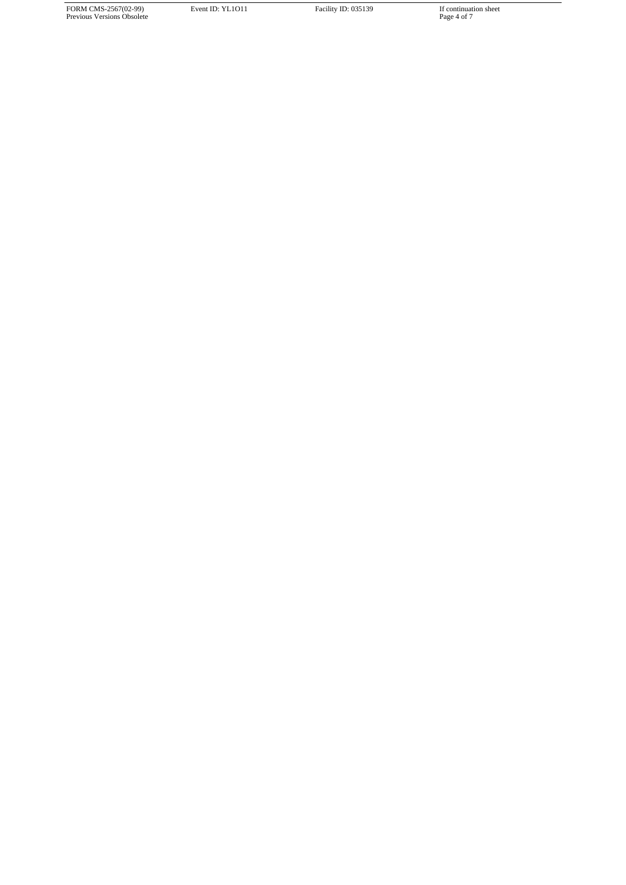FORM CMS-2567(02-99) Previous Versions Obsolete

Event ID: YL1O11 Facility ID: 035139 If continuation sheet<br>Page 4 of 7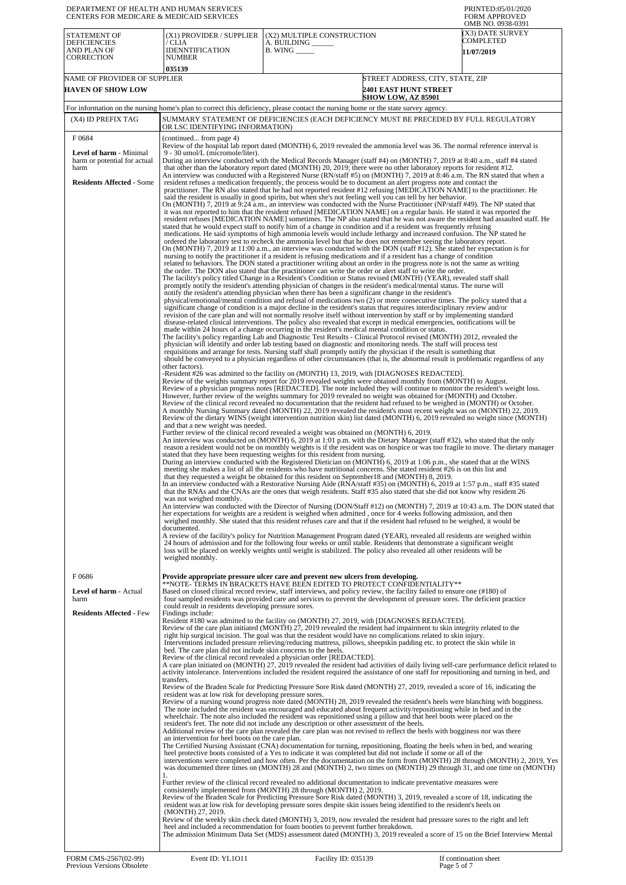| DEPARTMENT OF HEALTH AND HUMAN SERVICES<br>CENTERS FOR MEDICARE & MEDICAID SERVICES                                          |                                                                                                                                                                                                                                                                                                     |                                                                                                                                                                                                                                                                                                                                                                                                                                                                                                                                                                                                                                                                                                                                                                                                                                                                                                                                                                                                                                                                                                                                                                                                                                                                                                                                                                                                                                                                                                                                                                                                                                                                                                                                                                                                                                                                                                                                                                                                                                                                                                                                                                                                                                                                                                                                                                                                                                                                                                                                                                                                                                                                                                                                                                                                                                                                                                                                                                                                                                                                                                                                                                                                                                                                                                                                                                                                                                                                                                                                                                                                                                                                                                                                                                                                                                                                                                                                                                                                                                                                                                                                                                                                                                                                                                                                                                                                                                                                                                                                                                                                                                                                                                                                                                                                                                                                                                                                                                                                                                                                                                                                                                                                                                                                                                                                                                                                                                                                                                                                                                                                                                                                                                                                                                                                                                                                                                                                                                                                                                                                                                                        | PRINTED:05/01/2020<br><b>FORM APPROVED</b><br>OMB NO. 0938-0391                                                                                                                                                                                                                                                                                                                                                                                                                                                                                                                                                                                                        |
|------------------------------------------------------------------------------------------------------------------------------|-----------------------------------------------------------------------------------------------------------------------------------------------------------------------------------------------------------------------------------------------------------------------------------------------------|------------------------------------------------------------------------------------------------------------------------------------------------------------------------------------------------------------------------------------------------------------------------------------------------------------------------------------------------------------------------------------------------------------------------------------------------------------------------------------------------------------------------------------------------------------------------------------------------------------------------------------------------------------------------------------------------------------------------------------------------------------------------------------------------------------------------------------------------------------------------------------------------------------------------------------------------------------------------------------------------------------------------------------------------------------------------------------------------------------------------------------------------------------------------------------------------------------------------------------------------------------------------------------------------------------------------------------------------------------------------------------------------------------------------------------------------------------------------------------------------------------------------------------------------------------------------------------------------------------------------------------------------------------------------------------------------------------------------------------------------------------------------------------------------------------------------------------------------------------------------------------------------------------------------------------------------------------------------------------------------------------------------------------------------------------------------------------------------------------------------------------------------------------------------------------------------------------------------------------------------------------------------------------------------------------------------------------------------------------------------------------------------------------------------------------------------------------------------------------------------------------------------------------------------------------------------------------------------------------------------------------------------------------------------------------------------------------------------------------------------------------------------------------------------------------------------------------------------------------------------------------------------------------------------------------------------------------------------------------------------------------------------------------------------------------------------------------------------------------------------------------------------------------------------------------------------------------------------------------------------------------------------------------------------------------------------------------------------------------------------------------------------------------------------------------------------------------------------------------------------------------------------------------------------------------------------------------------------------------------------------------------------------------------------------------------------------------------------------------------------------------------------------------------------------------------------------------------------------------------------------------------------------------------------------------------------------------------------------------------------------------------------------------------------------------------------------------------------------------------------------------------------------------------------------------------------------------------------------------------------------------------------------------------------------------------------------------------------------------------------------------------------------------------------------------------------------------------------------------------------------------------------------------------------------------------------------------------------------------------------------------------------------------------------------------------------------------------------------------------------------------------------------------------------------------------------------------------------------------------------------------------------------------------------------------------------------------------------------------------------------------------------------------------------------------------------------------------------------------------------------------------------------------------------------------------------------------------------------------------------------------------------------------------------------------------------------------------------------------------------------------------------------------------------------------------------------------------------------------------------------------------------------------------------------------------------------------------------------------------------------------------------------------------------------------------------------------------------------------------------------------------------------------------------------------------------------------------------------------------------------------------------------------------------------------------------------------------------------------------------------------------------------------------------------------------------------------------------------------------------|------------------------------------------------------------------------------------------------------------------------------------------------------------------------------------------------------------------------------------------------------------------------------------------------------------------------------------------------------------------------------------------------------------------------------------------------------------------------------------------------------------------------------------------------------------------------------------------------------------------------------------------------------------------------|
| STATEMENT OF<br><b>DEFICIENCIES</b><br>AND PLAN OF<br><b>CORRECTION</b>                                                      | (X1) PROVIDER / SUPPLIER<br>/ CLIA<br><b>IDENNTIFICATION</b><br><b>NUMBER</b><br>035139                                                                                                                                                                                                             | (X2) MULTIPLE CONSTRUCTION<br>A. BUILDING _<br>$B.$ WING $\_\_\_\_\_\_\_\$                                                                                                                                                                                                                                                                                                                                                                                                                                                                                                                                                                                                                                                                                                                                                                                                                                                                                                                                                                                                                                                                                                                                                                                                                                                                                                                                                                                                                                                                                                                                                                                                                                                                                                                                                                                                                                                                                                                                                                                                                                                                                                                                                                                                                                                                                                                                                                                                                                                                                                                                                                                                                                                                                                                                                                                                                                                                                                                                                                                                                                                                                                                                                                                                                                                                                                                                                                                                                                                                                                                                                                                                                                                                                                                                                                                                                                                                                                                                                                                                                                                                                                                                                                                                                                                                                                                                                                                                                                                                                                                                                                                                                                                                                                                                                                                                                                                                                                                                                                                                                                                                                                                                                                                                                                                                                                                                                                                                                                                                                                                                                                                                                                                                                                                                                                                                                                                                                                                                                                                                                                             | (X3) DATE SURVEY<br>COMPLETED<br><b>11/07/2019</b>                                                                                                                                                                                                                                                                                                                                                                                                                                                                                                                                                                                                                     |
| NAME OF PROVIDER OF SUPPLIER<br><b>HAVEN OF SHOW LOW</b>                                                                     |                                                                                                                                                                                                                                                                                                     | <b>SHOW LOW, AZ 85901</b>                                                                                                                                                                                                                                                                                                                                                                                                                                                                                                                                                                                                                                                                                                                                                                                                                                                                                                                                                                                                                                                                                                                                                                                                                                                                                                                                                                                                                                                                                                                                                                                                                                                                                                                                                                                                                                                                                                                                                                                                                                                                                                                                                                                                                                                                                                                                                                                                                                                                                                                                                                                                                                                                                                                                                                                                                                                                                                                                                                                                                                                                                                                                                                                                                                                                                                                                                                                                                                                                                                                                                                                                                                                                                                                                                                                                                                                                                                                                                                                                                                                                                                                                                                                                                                                                                                                                                                                                                                                                                                                                                                                                                                                                                                                                                                                                                                                                                                                                                                                                                                                                                                                                                                                                                                                                                                                                                                                                                                                                                                                                                                                                                                                                                                                                                                                                                                                                                                                                                                                                                                                                                              | STREET ADDRESS, CITY, STATE, ZIP<br><b>2401 EAST HUNT STREET</b>                                                                                                                                                                                                                                                                                                                                                                                                                                                                                                                                                                                                       |
| (X4) ID PREFIX TAG                                                                                                           | For information on the nursing home's plan to correct this deficiency, please contact the nursing home or the state survey agency.<br>SUMMARY STATEMENT OF DEFICIENCIES (EACH DEFICIENCY MUST BE PRECEDED BY FULL REGULATORY<br>OR LSC IDENTIFYING INFORMATION)                                     |                                                                                                                                                                                                                                                                                                                                                                                                                                                                                                                                                                                                                                                                                                                                                                                                                                                                                                                                                                                                                                                                                                                                                                                                                                                                                                                                                                                                                                                                                                                                                                                                                                                                                                                                                                                                                                                                                                                                                                                                                                                                                                                                                                                                                                                                                                                                                                                                                                                                                                                                                                                                                                                                                                                                                                                                                                                                                                                                                                                                                                                                                                                                                                                                                                                                                                                                                                                                                                                                                                                                                                                                                                                                                                                                                                                                                                                                                                                                                                                                                                                                                                                                                                                                                                                                                                                                                                                                                                                                                                                                                                                                                                                                                                                                                                                                                                                                                                                                                                                                                                                                                                                                                                                                                                                                                                                                                                                                                                                                                                                                                                                                                                                                                                                                                                                                                                                                                                                                                                                                                                                                                                                        |                                                                                                                                                                                                                                                                                                                                                                                                                                                                                                                                                                                                                                                                        |
| F0684<br><b>Level of harm - Minimal</b><br>harm or potential for actual<br>harm<br><b>Residents Affected - Some</b><br>F0686 | (continued from page 4)<br>9 - 30 umol/L (micromole/liter).<br>other factors).<br>and that a new weight was needed.<br>was not weighed monthly.<br>documented.<br>weighed monthly.                                                                                                                  | Review of the hospital lab report dated (MONTH) 6, 2019 revealed the ammonia level was 36. The normal reference interval is<br>During an interview conducted with the Medical Records Manager (staff #4) on (MONTH) 7, 2019 at 8:40 a.m., staff #4 stated<br>that other than the laboratory report dated (MONTH) 20, 2019; there were no other laboratory reports for resident #12.<br>An interview was conducted with a Registered Nurse (RN/staff #5) on (MONTH) 7, 2019 at 8:46 a.m. The RN stated that when a<br>resident refuses a medication frequently, the process would be to document an alert progress note and contact the<br>practitioner. The RN also stated that he had not reported resident #12 refusing [MEDICATION NAME] to the practitioner. He<br>said the resident is usually in good spirits, but when she's not feeling well you can tell by her behavior.<br>On (MONTH) 7, 2019 at 9:24 a.m., an interview was conducted with the Nurse Practitioner (NP/staff #49). The NP stated that<br>it was not reported to him that the resident refused [MEDICATION NAME] on a regular basis. He stated it was reported the<br>stated that he would expect staff to notify him of a change in condition and if a resident was frequently refusing<br>medications. He said symptoms of high ammonia levels would include lethargy and increased confusion. The NP stated he<br>ordered the laboratory test to recheck the ammonia level but that he does not remember seeing the laboratory report.<br>On (MONTH) 7, 2019 at 11:00 a.m., an interview was conducted with the DON (staff #12). She stated her expectation is for<br>nursing to notify the practitioner if a resident is refusing medications and if a resident has a change of condition<br>related to behaviors. The DON stated a practitioner writing about an order in the progress note is not the same as writing<br>the order. The DON also stated that the practitioner can write the order or alert staff to write the order.<br>The facility's policy titled Change in a Resident's Condition or Status revised (MONTH) (YEAR), revealed staff shall<br>promptly notify the resident's attending physician of changes in the resident's medical/mental status. The nurse will<br>notify the resident's attending physician when there has been a significant change in the resident's<br>physical/emotional/mental condition and refusal of medications two (2) or more consecutive times. The policy stated that a<br>significant change of condition is a major decline in the resident's status that requires interdisciplinary review and/or<br>revision of the care plan and will not normally resolve itself without intervention by staff or by implementing standard<br>disease-related clinical interventions. The policy also revealed that except in medical emergencies, notifications will be<br>made within 24 hours of a change occurring in the resident's medical mental condition or status.<br>The facility's policy regarding Lab and Diagnostic Test Results - Clinical Protocol revised (MONTH) 2012, revealed the<br>physician will identify and order lab testing based on diagnostic and monitoring needs. The staff will process test<br>requisitions and arrange for tests. Nursing staff shall promptly notify the physician if the result is something that<br>should be conveyed to a physician regardless of other circumstances (that is, the abnormal result is problematic regardless of any<br>-Resident #26 was admitted to the facility on (MONTH) 13, 2019, with [DIAGNOSES REDACTED].<br>Review of the weights summary report for 2019 revealed weights were obtained monthly from (MONTH) to August.<br>Review of a physician progress notes [REDACTED]. The note included they will continue to monitor the resident's weight loss.<br>However, further review of the weights summary for 2019 revealed no weight was obtained for (MONTH) and October.<br>Review of the clinical record revealed no documentation that the resident had refused to be weighed in (MONTH) or October.<br>A monthly Nursing Summary dated (MONTH) 22, 2019 revealed the resident's most recent weight was on (MONTH) 22, 2019.<br>Review of the dietary WINS (weight intervention nutrition skin) list dated (MONTH) 6, 2019 revealed no weight since (MONTH)<br>Further review of the clinical record revealed a weight was obtained on (MONTH) 6, 2019.<br>An interview was conducted on (MONTH) 6, 2019 at 1:01 p.m. with the Dietary Manager (staff #32), who stated that the only<br>stated that they have been requesting weights for this resident from nursing.<br>During an interview conducted with the Registered Dietician on (MONTH) 6, 2019 at 1:06 p.m., she stated that at the WINS<br>meeting she makes a list of all the residents who have nutritional concerns. She stated resident #26 is on this list and<br>that they requested a weight be obtained for this resident on September 18 and (MONTH) 8, 2019.<br>In an interview conducted with a Restorative Nursing Aide (RNA/staff #35) on (MONTH) 6, 2019 at 1:57 p.m., staff #35 stated<br>that the RNAs and the CNAs are the ones that weigh residents. Staff #35 also stated that she did not know why resident 26<br>her expectations for weights are a resident is weighed when admitted, once for 4 weeks following admission, and then<br>weighed monthly. She stated that this resident refuses care and that if the resident had refused to be weighed, it would be<br>A review of the facility's policy for Nutrition Management Program dated (YEAR), revealed all residents are weighed within<br>24 hours of admission and for the following four weeks or until stable. Residents that demonstrate a significant weight<br>loss will be placed on weekly weights until weight is stabilized. The policy also revealed all other residents will be<br>Provide appropriate pressure ulcer care and prevent new ulcers from developing.<br>**NOTE- TERMS IN BRACKETS HAVE BEEN EDITED TO PROTECT CONFIDENTIALITY** | resident refuses [MEDICATION NAME] sometimes. The NP also stated that he was not aware the resident had assaulted staff. He<br>reason a resident would not be on monthly weights is if the resident was on hospice or was too fragile to move. The dietary manager<br>An interview was conducted with the Director of Nursing (DON/Staff #12) on (MONTH) 7, 2019 at 10:43 a.m. The DON stated that                                                                                                                                                                                                                                                                     |
| Level of harm - Actual<br>harm<br><b>Residents Affected - Few</b>                                                            | could result in residents developing pressure sores.<br>Findings include:<br>bed. The care plan did not include skin concerns to the heels.<br>transfers.<br>resident was at low risk for developing pressure sores.<br>an intervention for heel boots on the care plan.<br>1.<br>(MONTH) 27, 2019. | Based on closed clinical record review, staff interviews, and policy review, the facility failed to ensure one (#180) of<br>four sampled residents was provided care and services to prevent the development of pressure sores. The deficient practice<br>Resident #180 was admitted to the facility on (MONTH) 27, 2019, with [DIAGNOSES REDACTED].<br>Review of the care plan initiated (MONTH) 27, 2019 revealed the resident had impairment to skin integrity related to the<br>right hip surgical incision. The goal was that the resident would have no complications related to skin injury.<br>Interventions included pressure relieving/reducing mattress, pillows, sheepskin padding etc. to protect the skin while in<br>Review of the clinical record revealed a physician order [REDACTED].<br>Review of the Braden Scale for Predicting Pressure Sore Risk dated (MONTH) 27, 2019, revealed a score of 16, indicating the<br>Review of a nursing wound progress note dated (MONTH) 28, 2019 revealed the resident's heels were blanching with bogginess.<br>The note included the resident was encouraged and educated about frequent activity/repositioning while in bed and in the<br>wheelchair. The note also included the resident was repositioned using a pillow and that heel boots were placed on the<br>resident's feet. The note did not include any description or other assessment of the heels.<br>Additional review of the care plan revealed the care plan was not revised to reflect the heels with bogginess nor was there<br>The Certified Nursing Assistant (CNA) documentation for turning, repositioning, floating the heels when in bed, and wearing<br>heel protective boots consisted of a Yes to indicate it was completed but did not include if some or all of the<br>Further review of the clinical record revealed no additional documentation to indicate preventative measures were<br>consistently implemented from (MONTH) 28 through (MONTH) 2, 2019.<br>Review of the Braden Scale for Predicting Pressure Sore Risk dated (MONTH) 3, 2019, revealed a score of 18, indicating the<br>resident was at low risk for developing pressure sores despite skin issues being identified to the resident's heels on<br>Review of the weekly skin check dated (MONTH) 3, 2019, now revealed the resident had pressure sores to the right and left<br>heel and included a recommendation for foam booties to prevent further breakdown.                                                                                                                                                                                                                                                                                                                                                                                                                                                                                                                                                                                                                                                                                                                                                                                                                                                                                                                                                                                                                                                                                                                                                                                                                                                                                                                                                                                                                                                                                                                                                                                                                                                                                                                                                                                                                                                                                                                                                                                                                                                                                                                                                                                                                                                                                                                                                                                                                                                                                                                                                                                                                                                                                                                                                                                                                                                                                                                                                                                                                                                                                                                                                                                                                                                                                                                                                                                                                                                                                                                                                                                                                                       | A care plan initiated on (MONTH) 27, 2019 revealed the resident had activities of daily living self-care performance deficit related to<br>activity intolerance. Interventions included the resident required the assistance of one staff for repositioning and turning in bed, and<br>interventions were completed and how often. Per the documentation on the form from (MONTH) 28 through (MONTH) 2, 2019, Yes<br>was documented three times on (MONTH) 28 and (MONTH) 2, two times on (MONTH) 29 through 31, and one time on (MONTH)<br>The admission Minimum Data Set (MDS) assessment dated (MONTH) 3, 2019 revealed a score of 15 on the Brief Interview Mental |
| FORM CMS-2567(02-99)                                                                                                         | Event ID: YL1011                                                                                                                                                                                                                                                                                    | Facility ID: 035139                                                                                                                                                                                                                                                                                                                                                                                                                                                                                                                                                                                                                                                                                                                                                                                                                                                                                                                                                                                                                                                                                                                                                                                                                                                                                                                                                                                                                                                                                                                                                                                                                                                                                                                                                                                                                                                                                                                                                                                                                                                                                                                                                                                                                                                                                                                                                                                                                                                                                                                                                                                                                                                                                                                                                                                                                                                                                                                                                                                                                                                                                                                                                                                                                                                                                                                                                                                                                                                                                                                                                                                                                                                                                                                                                                                                                                                                                                                                                                                                                                                                                                                                                                                                                                                                                                                                                                                                                                                                                                                                                                                                                                                                                                                                                                                                                                                                                                                                                                                                                                                                                                                                                                                                                                                                                                                                                                                                                                                                                                                                                                                                                                                                                                                                                                                                                                                                                                                                                                                                                                                                                                    | If continuation sheet                                                                                                                                                                                                                                                                                                                                                                                                                                                                                                                                                                                                                                                  |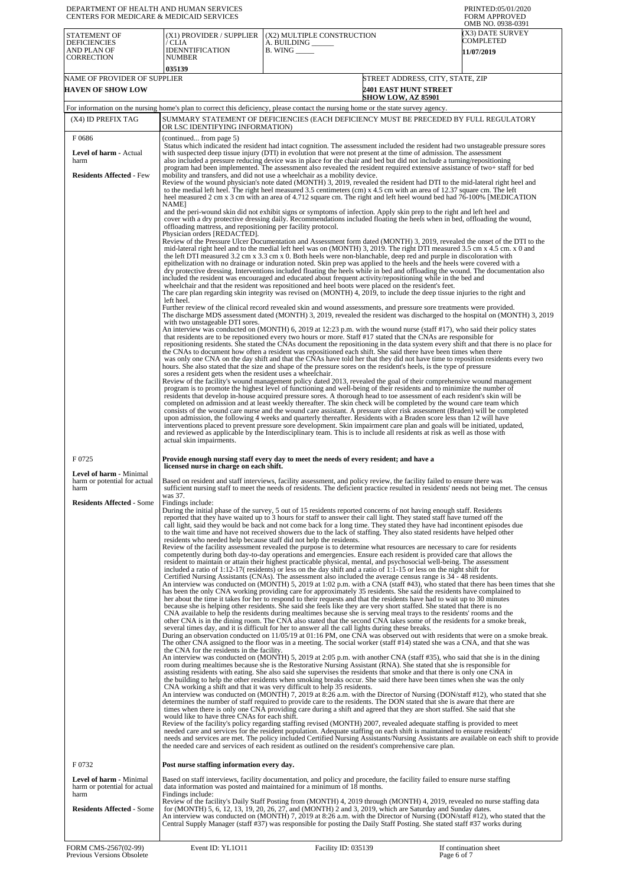| DEPARTMENT OF HEALTH AND HUMAN SERVICES<br><b>CENTERS FOR MEDICARE &amp; MEDICAID SERVICES</b>             |                                                                                                                                                                                                                                                                                                                                                                                                                                                                                                                                                                                                                                                                                                                                                                                                                                                                                                                                                                                                                                                                                                                              |                                                                                                                                                                                                                                                                                                                                                                                                                                                                                                                                                                                                                                                                                                                                                                                                                                                                                                                                                                                                                                                                                                                                                                               | PRINTED:05/01/2020<br><b>FORM APPROVED</b><br>OMB NO. 0938-0391                                                                                                                                                                                                                                                                                                                                                                                                                                                                                                                                                                                                                                                                                                                                                                                                                                                                                                                                                                                                                                                                                                                                                                                                                                                                                                                                                                                                                                                                                                                                                                                                                                                                                                                                                                                                                                                                                                                                                                                                                                                                                                                                                                                                                                                                                                                                                                                                                                                                                                                                      |  |
|------------------------------------------------------------------------------------------------------------|------------------------------------------------------------------------------------------------------------------------------------------------------------------------------------------------------------------------------------------------------------------------------------------------------------------------------------------------------------------------------------------------------------------------------------------------------------------------------------------------------------------------------------------------------------------------------------------------------------------------------------------------------------------------------------------------------------------------------------------------------------------------------------------------------------------------------------------------------------------------------------------------------------------------------------------------------------------------------------------------------------------------------------------------------------------------------------------------------------------------------|-------------------------------------------------------------------------------------------------------------------------------------------------------------------------------------------------------------------------------------------------------------------------------------------------------------------------------------------------------------------------------------------------------------------------------------------------------------------------------------------------------------------------------------------------------------------------------------------------------------------------------------------------------------------------------------------------------------------------------------------------------------------------------------------------------------------------------------------------------------------------------------------------------------------------------------------------------------------------------------------------------------------------------------------------------------------------------------------------------------------------------------------------------------------------------|------------------------------------------------------------------------------------------------------------------------------------------------------------------------------------------------------------------------------------------------------------------------------------------------------------------------------------------------------------------------------------------------------------------------------------------------------------------------------------------------------------------------------------------------------------------------------------------------------------------------------------------------------------------------------------------------------------------------------------------------------------------------------------------------------------------------------------------------------------------------------------------------------------------------------------------------------------------------------------------------------------------------------------------------------------------------------------------------------------------------------------------------------------------------------------------------------------------------------------------------------------------------------------------------------------------------------------------------------------------------------------------------------------------------------------------------------------------------------------------------------------------------------------------------------------------------------------------------------------------------------------------------------------------------------------------------------------------------------------------------------------------------------------------------------------------------------------------------------------------------------------------------------------------------------------------------------------------------------------------------------------------------------------------------------------------------------------------------------------------------------------------------------------------------------------------------------------------------------------------------------------------------------------------------------------------------------------------------------------------------------------------------------------------------------------------------------------------------------------------------------------------------------------------------------------------------------------------------------|--|
| <b>STATEMENT OF</b><br><b>DEFICIENCIES</b><br>AND PLAN OF<br><b>CORRECTION</b>                             | (X1) PROVIDER / SUPPLIER<br>/ CLIA<br><b>IDENNTIFICATION</b><br><b>NUMBER</b><br>035139                                                                                                                                                                                                                                                                                                                                                                                                                                                                                                                                                                                                                                                                                                                                                                                                                                                                                                                                                                                                                                      | (X2) MULTIPLE CONSTRUCTION<br>A. BUILDING ______<br>$B.$ WING $\_\_\_\_\_\_\$                                                                                                                                                                                                                                                                                                                                                                                                                                                                                                                                                                                                                                                                                                                                                                                                                                                                                                                                                                                                                                                                                                 | (X3) DATE SURVEY<br>COMPLETED<br>11/07/2019                                                                                                                                                                                                                                                                                                                                                                                                                                                                                                                                                                                                                                                                                                                                                                                                                                                                                                                                                                                                                                                                                                                                                                                                                                                                                                                                                                                                                                                                                                                                                                                                                                                                                                                                                                                                                                                                                                                                                                                                                                                                                                                                                                                                                                                                                                                                                                                                                                                                                                                                                          |  |
| NAME OF PROVIDER OF SUPPLIER<br><b>HAVEN OF SHOW LOW</b>                                                   |                                                                                                                                                                                                                                                                                                                                                                                                                                                                                                                                                                                                                                                                                                                                                                                                                                                                                                                                                                                                                                                                                                                              |                                                                                                                                                                                                                                                                                                                                                                                                                                                                                                                                                                                                                                                                                                                                                                                                                                                                                                                                                                                                                                                                                                                                                                               | STREET ADDRESS, CITY, STATE, ZIP<br><b>2401 EAST HUNT STREET</b>                                                                                                                                                                                                                                                                                                                                                                                                                                                                                                                                                                                                                                                                                                                                                                                                                                                                                                                                                                                                                                                                                                                                                                                                                                                                                                                                                                                                                                                                                                                                                                                                                                                                                                                                                                                                                                                                                                                                                                                                                                                                                                                                                                                                                                                                                                                                                                                                                                                                                                                                     |  |
|                                                                                                            |                                                                                                                                                                                                                                                                                                                                                                                                                                                                                                                                                                                                                                                                                                                                                                                                                                                                                                                                                                                                                                                                                                                              |                                                                                                                                                                                                                                                                                                                                                                                                                                                                                                                                                                                                                                                                                                                                                                                                                                                                                                                                                                                                                                                                                                                                                                               | <b>SHOW LOW, AZ 85901</b>                                                                                                                                                                                                                                                                                                                                                                                                                                                                                                                                                                                                                                                                                                                                                                                                                                                                                                                                                                                                                                                                                                                                                                                                                                                                                                                                                                                                                                                                                                                                                                                                                                                                                                                                                                                                                                                                                                                                                                                                                                                                                                                                                                                                                                                                                                                                                                                                                                                                                                                                                                            |  |
| (X4) ID PREFIX TAG                                                                                         | For information on the nursing home's plan to correct this deficiency, please contact the nursing home or the state survey agency.<br>SUMMARY STATEMENT OF DEFICIENCIES (EACH DEFICIENCY MUST BE PRECEDED BY FULL REGULATORY                                                                                                                                                                                                                                                                                                                                                                                                                                                                                                                                                                                                                                                                                                                                                                                                                                                                                                 |                                                                                                                                                                                                                                                                                                                                                                                                                                                                                                                                                                                                                                                                                                                                                                                                                                                                                                                                                                                                                                                                                                                                                                               |                                                                                                                                                                                                                                                                                                                                                                                                                                                                                                                                                                                                                                                                                                                                                                                                                                                                                                                                                                                                                                                                                                                                                                                                                                                                                                                                                                                                                                                                                                                                                                                                                                                                                                                                                                                                                                                                                                                                                                                                                                                                                                                                                                                                                                                                                                                                                                                                                                                                                                                                                                                                      |  |
| F0686                                                                                                      | OR LSC IDENTIFYING INFORMATION)<br>(continued from page 5)                                                                                                                                                                                                                                                                                                                                                                                                                                                                                                                                                                                                                                                                                                                                                                                                                                                                                                                                                                                                                                                                   |                                                                                                                                                                                                                                                                                                                                                                                                                                                                                                                                                                                                                                                                                                                                                                                                                                                                                                                                                                                                                                                                                                                                                                               |                                                                                                                                                                                                                                                                                                                                                                                                                                                                                                                                                                                                                                                                                                                                                                                                                                                                                                                                                                                                                                                                                                                                                                                                                                                                                                                                                                                                                                                                                                                                                                                                                                                                                                                                                                                                                                                                                                                                                                                                                                                                                                                                                                                                                                                                                                                                                                                                                                                                                                                                                                                                      |  |
| Level of harm - Actual<br>harm<br><b>Residents Affected - Few</b>                                          | Status which indicated the resident had intact cognition. The assessment included the resident had two unstageable pressure sores<br>with suspected deep tissue injury (DTI) in evolution that were not present at the time of admission. The assessment<br>also included a pressure reducing device was in place for the chair and bed but did not include a turning/repositioning<br>program had been implemented. The assessment also revealed the resident required extensive assistance of two+ staff for bed<br>mobility and transfers, and did not use a wheelchair as a mobility device.<br>Review of the wound physician's note dated (MONTH) 3, 2019, revealed the resident had DTI to the mid-lateral right heel and<br>to the medial left heel. The right heel measured 3.5 centimeters (cm) x 4.5 cm with an area of 12.37 square cm. The left<br>heel measured 2 cm x 3 cm with an area of 4.712 square cm. The right and left heel wound bed had 76-100% [MEDICATION<br><b>NAME</b><br>and the peri-wound skin did not exhibit signs or symptoms of infection. Apply skin prep to the right and left heel and |                                                                                                                                                                                                                                                                                                                                                                                                                                                                                                                                                                                                                                                                                                                                                                                                                                                                                                                                                                                                                                                                                                                                                                               |                                                                                                                                                                                                                                                                                                                                                                                                                                                                                                                                                                                                                                                                                                                                                                                                                                                                                                                                                                                                                                                                                                                                                                                                                                                                                                                                                                                                                                                                                                                                                                                                                                                                                                                                                                                                                                                                                                                                                                                                                                                                                                                                                                                                                                                                                                                                                                                                                                                                                                                                                                                                      |  |
|                                                                                                            | offloading mattress, and repositioning per facility protocol.<br>Physician orders [REDACTED].<br>left heel.<br>with two unstageable DTI sores.<br>sores a resident gets when the resident uses a wheelchair.<br>actual skin impairments.                                                                                                                                                                                                                                                                                                                                                                                                                                                                                                                                                                                                                                                                                                                                                                                                                                                                                     | included the resident was encouraged and educated about frequent activity/repositioning while in the bed and<br>wheelchair and that the resident was repositioned and heel boots were placed on the resident's feet.<br>that residents are to be repositioned every two hours or more. Staff #17 stated that the CNAs are responsible for<br>the CNAs to document how often a resident was repositioned each shift. She said there have been times when there<br>hours. She also stated that the size and shape of the pressure sores on the resident's heels, is the type of pressure<br>upon admission, the following 4 weeks and quarterly thereafter. Residents with a Braden score less than 12 will have<br>and reviewed as applicable by the Interdisciplinary team. This is to include all residents at risk as well as those with                                                                                                                                                                                                                                                                                                                                    | cover with a dry protective dressing daily. Recommendations included floating the heels when in bed, offloading the wound,<br>Review of the Pressure Ulcer Documentation and Assessment form dated (MONTH) 3, 2019, revealed the onset of the DTI to the<br>mid-lateral right heel and to the medial left heel was on (MONTH) 3, 2019. The right DTI measured 3.5 cm x 4.5 cm. x 0 and<br>the left DTI measured 3.2 cm x 3.3 cm x 0. Both heels were non-blanchable, deep red and purple in discoloration with<br>epithelization with no drainage or induration noted. Skin prep was applied to the heels and the heels were covered with a<br>dry protective dressing. Interventions included floating the heels while in bed and offloading the wound. The documentation also<br>The care plan regarding skin integrity was revised on (MONTH) 4, 2019, to include the deep tissue injuries to the right and<br>Further review of the clinical record revealed skin and wound assessments, and pressure sore treatments were provided.<br>The discharge MDS assessment dated (MONTH) 3, 2019, revealed the resident was discharged to the hospital on (MONTH) 3, 2019<br>An interview was conducted on (MONTH) 6, 2019 at 12:23 p.m. with the wound nurse (staff #17), who said their policy states<br>repositioning residents. She stated the CNAs document the repositioning in the data system every shift and that there is no place for<br>was only one CNA on the day shift and that the CNAs have told her that they did not have time to reposition residents every two<br>Review of the facility's wound management policy dated 2013, revealed the goal of their comprehensive wound management<br>program is to promote the highest level of functioning and well-being of their residents and to minimize the number of<br>residents that develop in-house acquired pressure sores. A thorough head to toe assessment of each resident's skin will be<br>completed on admission and at least weekly thereafter. The skin check will be completed by the wound care team which<br>consists of the wound care nurse and the wound care assistant. A pressure ulcer risk assessment (Braden) will be completed<br>interventions placed to prevent pressure sore development. Skin impairment care plan and goals will be initiated, updated,                                                                                                                                                                                                                                              |  |
| F0725                                                                                                      |                                                                                                                                                                                                                                                                                                                                                                                                                                                                                                                                                                                                                                                                                                                                                                                                                                                                                                                                                                                                                                                                                                                              | Provide enough nursing staff every day to meet the needs of every resident; and have a                                                                                                                                                                                                                                                                                                                                                                                                                                                                                                                                                                                                                                                                                                                                                                                                                                                                                                                                                                                                                                                                                        |                                                                                                                                                                                                                                                                                                                                                                                                                                                                                                                                                                                                                                                                                                                                                                                                                                                                                                                                                                                                                                                                                                                                                                                                                                                                                                                                                                                                                                                                                                                                                                                                                                                                                                                                                                                                                                                                                                                                                                                                                                                                                                                                                                                                                                                                                                                                                                                                                                                                                                                                                                                                      |  |
| Level of harm - Minimal<br>harm or potential for actual<br>harm                                            | licensed nurse in charge on each shift.                                                                                                                                                                                                                                                                                                                                                                                                                                                                                                                                                                                                                                                                                                                                                                                                                                                                                                                                                                                                                                                                                      | Based on resident and staff interviews, facility assessment, and policy review, the facility failed to ensure there was                                                                                                                                                                                                                                                                                                                                                                                                                                                                                                                                                                                                                                                                                                                                                                                                                                                                                                                                                                                                                                                       | sufficient nursing staff to meet the needs of residents. The deficient practice resulted in residents' needs not being met. The census                                                                                                                                                                                                                                                                                                                                                                                                                                                                                                                                                                                                                                                                                                                                                                                                                                                                                                                                                                                                                                                                                                                                                                                                                                                                                                                                                                                                                                                                                                                                                                                                                                                                                                                                                                                                                                                                                                                                                                                                                                                                                                                                                                                                                                                                                                                                                                                                                                                               |  |
| <b>Residents Affected - Some</b>                                                                           | was 37.<br>Findings include:<br>residents who needed help because staff did not help the residents.<br>the CNA for the residents in the facility.<br>would like to have three CNAs for each shift.                                                                                                                                                                                                                                                                                                                                                                                                                                                                                                                                                                                                                                                                                                                                                                                                                                                                                                                           | During the initial phase of the survey, 5 out of 15 residents reported concerns of not having enough staff. Residents<br>reported that they have waited up to 3 hours for staff to answer their call light. They stated staff have turned off the<br>resident to maintain or attain their highest practicable physical, mental, and psychosocial well-being. The assessment<br>included a ratio of $1:12-17$ residents) or less on the day shift and a ratio of $1:1-15$ or less on the night shift for<br>Certified Nursing Assistants (CNAs). The assessment also included the average census range is 34 - 48 residents.<br>her about the time it takes for her to respond to their requests and that the residents have had to wait up to 30 minutes<br>because she is helping other residents. She said she feels like they are very short staffed. She stated that there is no<br>several times day, and it is difficult for her to answer all the call lights during these breaks.<br>CNA working a shift and that it was very difficult to help 35 residents.<br>the needed care and services of each resident as outlined on the resident's comprehensive care plan. | call light, said they would be back and not come back for a long time. They stated they have had incontinent episodes due<br>to the wait time and have not received showers due to the lack of staffing. They also stated residents have helped other<br>Review of the facility assessment revealed the purpose is to determine what resources are necessary to care for residents<br>competently during both day-to-day operations and emergencies. Ensure each resident is provided care that allows the<br>An interview was conducted on (MONTH) 5, 2019 at 1:02 p.m. with a CNA (staff #43), who stated that there has been times that she<br>has been the only CNA working providing care for approximately 35 residents. She said the residents have complained to<br>CNA available to help the residents during mealtimes because she is serving meal trays to the residents' rooms and the<br>other CNA is in the dining room. The CNA also stated that the second CNA takes some of the residents for a smoke break,<br>During an observation conducted on 11/05/19 at 01:16 PM, one CNA was observed out with residents that were on a smoke break.<br>The other CNA assigned to the floor was in a meeting. The social worker (staff #14) stated she was a CNA, and that she was<br>An interview was conducted on (MONTH) 5, 2019 at 2:05 p.m. with another CNA (staff #35), who said that she is in the dining<br>room during mealtimes because she is the Restorative Nursing Assistant (RNA). She stated that she is responsible for<br>assisting residents with eating. She also said she supervises the residents that smoke and that there is only one CNA in<br>the building to help the other residents when smoking breaks occur. She said there have been times when she was the only<br>An interview was conducted on (MONTH) 7, 2019 at 8:26 a.m. with the Director of Nursing (DON/staff #12), who stated that she<br>determines the number of staff required to provide care to the residents. The DON stated that she is aware that there are<br>times when there is only one CNA providing care during a shift and agreed that they are short staffed. She said that she<br>Review of the facility's policy regarding staffing revised (MONTH) 2007, revealed adequate staffing is provided to meet<br>needed care and services for the resident population. Adequate staffing on each shift is maintained to ensure residents'<br>needs and services are met. The policy included Certified Nursing Assistants/Nursing Assistants are available on each shift to provide |  |
| F0732                                                                                                      | Post nurse staffing information every day.                                                                                                                                                                                                                                                                                                                                                                                                                                                                                                                                                                                                                                                                                                                                                                                                                                                                                                                                                                                                                                                                                   |                                                                                                                                                                                                                                                                                                                                                                                                                                                                                                                                                                                                                                                                                                                                                                                                                                                                                                                                                                                                                                                                                                                                                                               |                                                                                                                                                                                                                                                                                                                                                                                                                                                                                                                                                                                                                                                                                                                                                                                                                                                                                                                                                                                                                                                                                                                                                                                                                                                                                                                                                                                                                                                                                                                                                                                                                                                                                                                                                                                                                                                                                                                                                                                                                                                                                                                                                                                                                                                                                                                                                                                                                                                                                                                                                                                                      |  |
| <b>Level of harm - Minimal</b><br>harm or potential for actual<br>harm<br><b>Residents Affected - Some</b> | Findings include:                                                                                                                                                                                                                                                                                                                                                                                                                                                                                                                                                                                                                                                                                                                                                                                                                                                                                                                                                                                                                                                                                                            | data information was posted and maintained for a minimum of 18 months.<br>for $(MONTH)$ 5, 6, 12, 13, 19, 20, 26, 27, and $(MONTH)$ 2 and 3, 2019, which are Saturday and Sunday dates.                                                                                                                                                                                                                                                                                                                                                                                                                                                                                                                                                                                                                                                                                                                                                                                                                                                                                                                                                                                       | Based on staff interviews, facility documentation, and policy and procedure, the facility failed to ensure nurse staffing<br>Review of the facility's Daily Staff Posting from (MONTH) 4, 2019 through (MONTH) 4, 2019, revealed no nurse staffing data<br>An interview was conducted on (MONTH) 7, 2019 at 8:26 a.m. with the Director of Nursing (DON/staff #12), who stated that the<br>Central Supply Manager (staff #37) was responsible for posting the Daily Staff Posting. She stated staff #37 works during                                                                                                                                                                                                                                                                                                                                                                                                                                                                                                                                                                                                                                                                                                                                                                                                                                                                                                                                                                                                                                                                                                                                                                                                                                                                                                                                                                                                                                                                                                                                                                                                                                                                                                                                                                                                                                                                                                                                                                                                                                                                                 |  |
| FORM CMS-2567(02-99)                                                                                       | Event ID: YL1011                                                                                                                                                                                                                                                                                                                                                                                                                                                                                                                                                                                                                                                                                                                                                                                                                                                                                                                                                                                                                                                                                                             | Facility ID: 035139                                                                                                                                                                                                                                                                                                                                                                                                                                                                                                                                                                                                                                                                                                                                                                                                                                                                                                                                                                                                                                                                                                                                                           | If continuation sheet                                                                                                                                                                                                                                                                                                                                                                                                                                                                                                                                                                                                                                                                                                                                                                                                                                                                                                                                                                                                                                                                                                                                                                                                                                                                                                                                                                                                                                                                                                                                                                                                                                                                                                                                                                                                                                                                                                                                                                                                                                                                                                                                                                                                                                                                                                                                                                                                                                                                                                                                                                                |  |